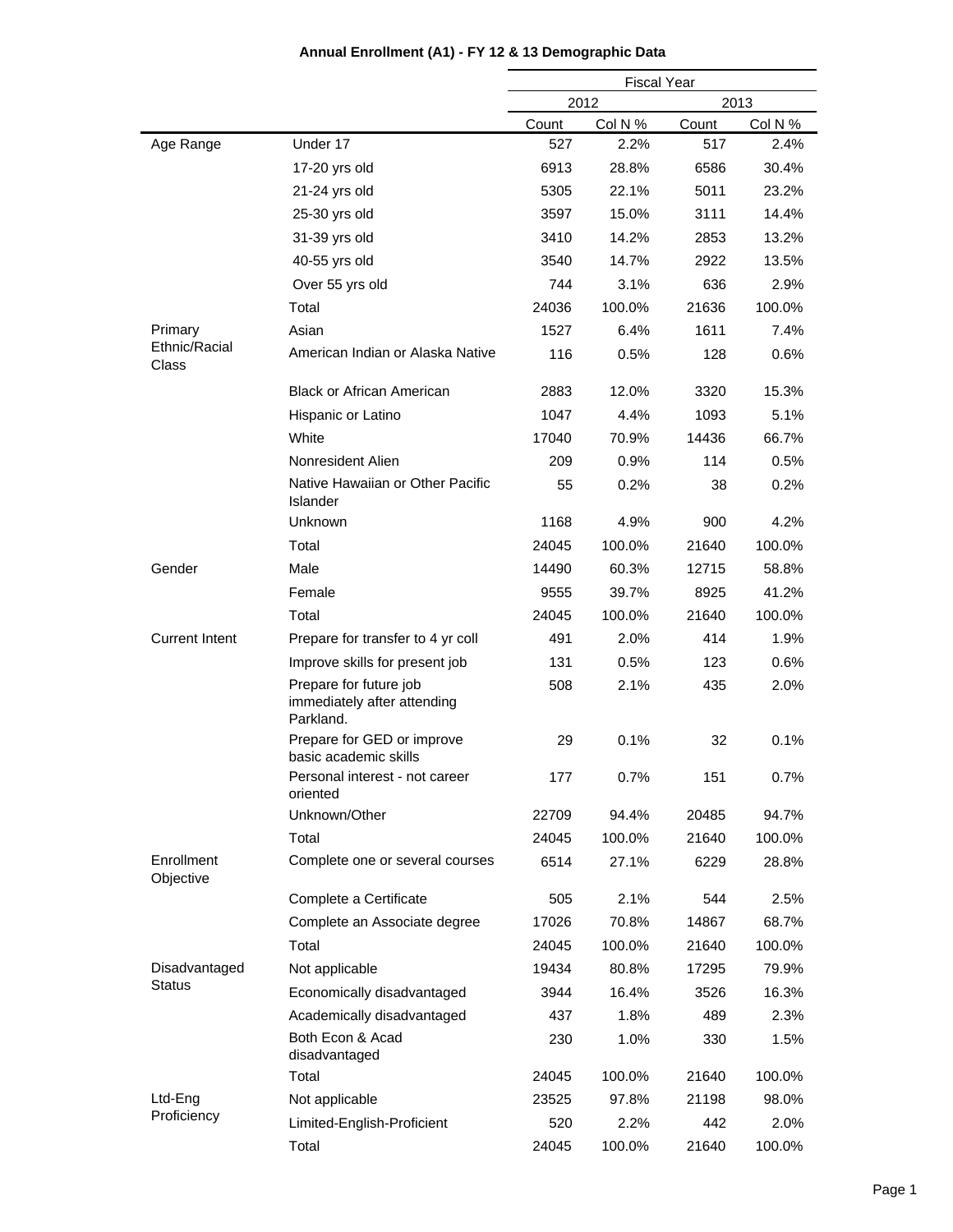|                         |                                                                    | <b>Fiscal Year</b> |         |       |         |
|-------------------------|--------------------------------------------------------------------|--------------------|---------|-------|---------|
|                         |                                                                    |                    | 2012    |       | 2013    |
|                         |                                                                    | Count              | Col N % | Count | Col N % |
| Age Range               | Under 17                                                           | 527                | 2.2%    | 517   | 2.4%    |
|                         | 17-20 yrs old                                                      | 6913               | 28.8%   | 6586  | 30.4%   |
|                         | 21-24 yrs old                                                      | 5305               | 22.1%   | 5011  | 23.2%   |
|                         | 25-30 yrs old                                                      | 3597               | 15.0%   | 3111  | 14.4%   |
|                         | 31-39 yrs old                                                      | 3410               | 14.2%   | 2853  | 13.2%   |
|                         | 40-55 yrs old                                                      | 3540               | 14.7%   | 2922  | 13.5%   |
|                         | Over 55 yrs old                                                    | 744                | 3.1%    | 636   | 2.9%    |
|                         | Total                                                              | 24036              | 100.0%  | 21636 | 100.0%  |
| Primary                 | Asian                                                              | 1527               | 6.4%    | 1611  | 7.4%    |
| Ethnic/Racial<br>Class  | American Indian or Alaska Native                                   | 116                | 0.5%    | 128   | 0.6%    |
|                         | <b>Black or African American</b>                                   | 2883               | 12.0%   | 3320  | 15.3%   |
|                         | Hispanic or Latino                                                 | 1047               | 4.4%    | 1093  | 5.1%    |
|                         | White                                                              | 17040              | 70.9%   | 14436 | 66.7%   |
|                         | Nonresident Alien                                                  | 209                | $0.9\%$ | 114   | 0.5%    |
|                         | Native Hawaiian or Other Pacific<br>Islander                       | 55                 | 0.2%    | 38    | 0.2%    |
|                         | Unknown                                                            | 1168               | 4.9%    | 900   | 4.2%    |
|                         | Total                                                              | 24045              | 100.0%  | 21640 | 100.0%  |
| Gender                  | Male                                                               | 14490              | 60.3%   | 12715 | 58.8%   |
|                         | Female                                                             | 9555               | 39.7%   | 8925  | 41.2%   |
|                         | Total                                                              | 24045              | 100.0%  | 21640 | 100.0%  |
| <b>Current Intent</b>   | Prepare for transfer to 4 yr coll                                  | 491                | 2.0%    | 414   | 1.9%    |
|                         | Improve skills for present job                                     | 131                | 0.5%    | 123   | 0.6%    |
|                         | Prepare for future job<br>immediately after attending<br>Parkland. | 508                | 2.1%    | 435   | 2.0%    |
|                         | Prepare for GED or improve<br>basic academic skills                | 29                 | 0.1%    | 32    | 0.1%    |
|                         | Personal interest - not career<br>oriented                         | 177                | 0.7%    | 151   | 0.7%    |
|                         | Unknown/Other                                                      | 22709              | 94.4%   | 20485 | 94.7%   |
|                         | Total                                                              | 24045              | 100.0%  | 21640 | 100.0%  |
| Enrollment<br>Objective | Complete one or several courses                                    | 6514               | 27.1%   | 6229  | 28.8%   |
|                         | Complete a Certificate                                             | 505                | 2.1%    | 544   | 2.5%    |
|                         | Complete an Associate degree                                       | 17026              | 70.8%   | 14867 | 68.7%   |
|                         | Total                                                              | 24045              | 100.0%  | 21640 | 100.0%  |
| Disadvantaged           | Not applicable                                                     | 19434              | 80.8%   | 17295 | 79.9%   |
| <b>Status</b>           | Economically disadvantaged                                         | 3944               | 16.4%   | 3526  | 16.3%   |
|                         | Academically disadvantaged                                         | 437                | 1.8%    | 489   | 2.3%    |
|                         | Both Econ & Acad<br>disadvantaged                                  | 230                | 1.0%    | 330   | 1.5%    |
|                         | Total                                                              | 24045              | 100.0%  | 21640 | 100.0%  |
| Ltd-Eng                 | Not applicable                                                     | 23525              | 97.8%   | 21198 | 98.0%   |
| Proficiency             | Limited-English-Proficient                                         | 520                | 2.2%    | 442   | 2.0%    |
|                         | Total                                                              | 24045              | 100.0%  | 21640 | 100.0%  |

### **Annual Enrollment (A1) - FY 12 & 13 Demographic Data**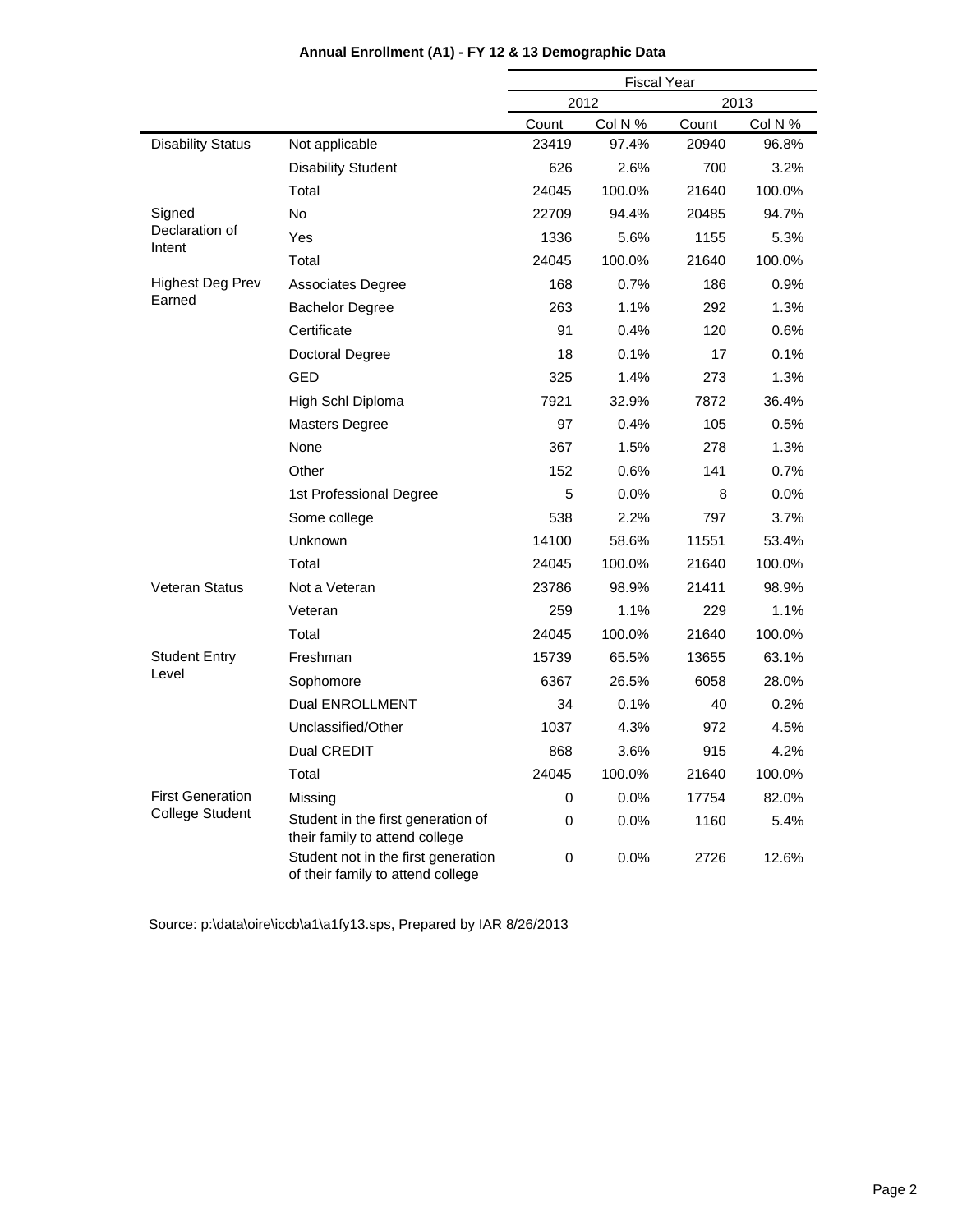|                                                        |                                                                          | <b>Fiscal Year</b> |         |       |         |
|--------------------------------------------------------|--------------------------------------------------------------------------|--------------------|---------|-------|---------|
|                                                        |                                                                          |                    | 2012    |       | 2013    |
|                                                        |                                                                          | Count              | Col N % | Count | Col N % |
| <b>Disability Status</b>                               | Not applicable                                                           | 23419              | 97.4%   | 20940 | 96.8%   |
|                                                        | <b>Disability Student</b>                                                | 626                | 2.6%    | 700   | 3.2%    |
|                                                        | Total                                                                    | 24045              | 100.0%  | 21640 | 100.0%  |
| Signed                                                 | No                                                                       | 22709              | 94.4%   | 20485 | 94.7%   |
| Declaration of<br>Intent<br>Highest Deg Prev<br>Earned | Yes                                                                      | 1336               | 5.6%    | 1155  | 5.3%    |
|                                                        | Total                                                                    | 24045              | 100.0%  | 21640 | 100.0%  |
|                                                        | <b>Associates Degree</b>                                                 | 168                | 0.7%    | 186   | 0.9%    |
|                                                        | <b>Bachelor Degree</b>                                                   | 263                | 1.1%    | 292   | 1.3%    |
|                                                        | Certificate                                                              | 91                 | 0.4%    | 120   | 0.6%    |
|                                                        | Doctoral Degree                                                          | 18                 | 0.1%    | 17    | 0.1%    |
|                                                        | <b>GED</b>                                                               | 325                | 1.4%    | 273   | 1.3%    |
|                                                        | High Schl Diploma                                                        | 7921               | 32.9%   | 7872  | 36.4%   |
|                                                        | <b>Masters Degree</b>                                                    | 97                 | 0.4%    | 105   | 0.5%    |
|                                                        | None                                                                     | 367                | 1.5%    | 278   | 1.3%    |
|                                                        | Other                                                                    | 152                | 0.6%    | 141   | 0.7%    |
|                                                        | 1st Professional Degree                                                  | 5                  | 0.0%    | 8     | 0.0%    |
|                                                        | Some college                                                             | 538                | 2.2%    | 797   | 3.7%    |
|                                                        | Unknown                                                                  | 14100              | 58.6%   | 11551 | 53.4%   |
|                                                        | Total                                                                    | 24045              | 100.0%  | 21640 | 100.0%  |
| <b>Veteran Status</b>                                  | Not a Veteran                                                            | 23786              | 98.9%   | 21411 | 98.9%   |
|                                                        | Veteran                                                                  | 259                | 1.1%    | 229   | 1.1%    |
|                                                        | Total                                                                    | 24045              | 100.0%  | 21640 | 100.0%  |
| <b>Student Entry</b>                                   | Freshman                                                                 | 15739              | 65.5%   | 13655 | 63.1%   |
| Level                                                  | Sophomore                                                                | 6367               | 26.5%   | 6058  | 28.0%   |
|                                                        | Dual ENROLLMENT                                                          | 34                 | 0.1%    | 40    | 0.2%    |
|                                                        | Unclassified/Other                                                       | 1037               | 4.3%    | 972   | 4.5%    |
|                                                        | Dual CREDIT                                                              | 868                | 3.6%    | 915   | 4.2%    |
|                                                        | Total                                                                    | 24045              | 100.0%  | 21640 | 100.0%  |
| <b>First Generation</b>                                | Missing                                                                  | 0                  | 0.0%    | 17754 | 82.0%   |
| <b>College Student</b>                                 | Student in the first generation of<br>their family to attend college     | 0                  | $0.0\%$ | 1160  | 5.4%    |
|                                                        | Student not in the first generation<br>of their family to attend college | 0                  | 0.0%    | 2726  | 12.6%   |

### **Annual Enrollment (A1) - FY 12 & 13 Demographic Data**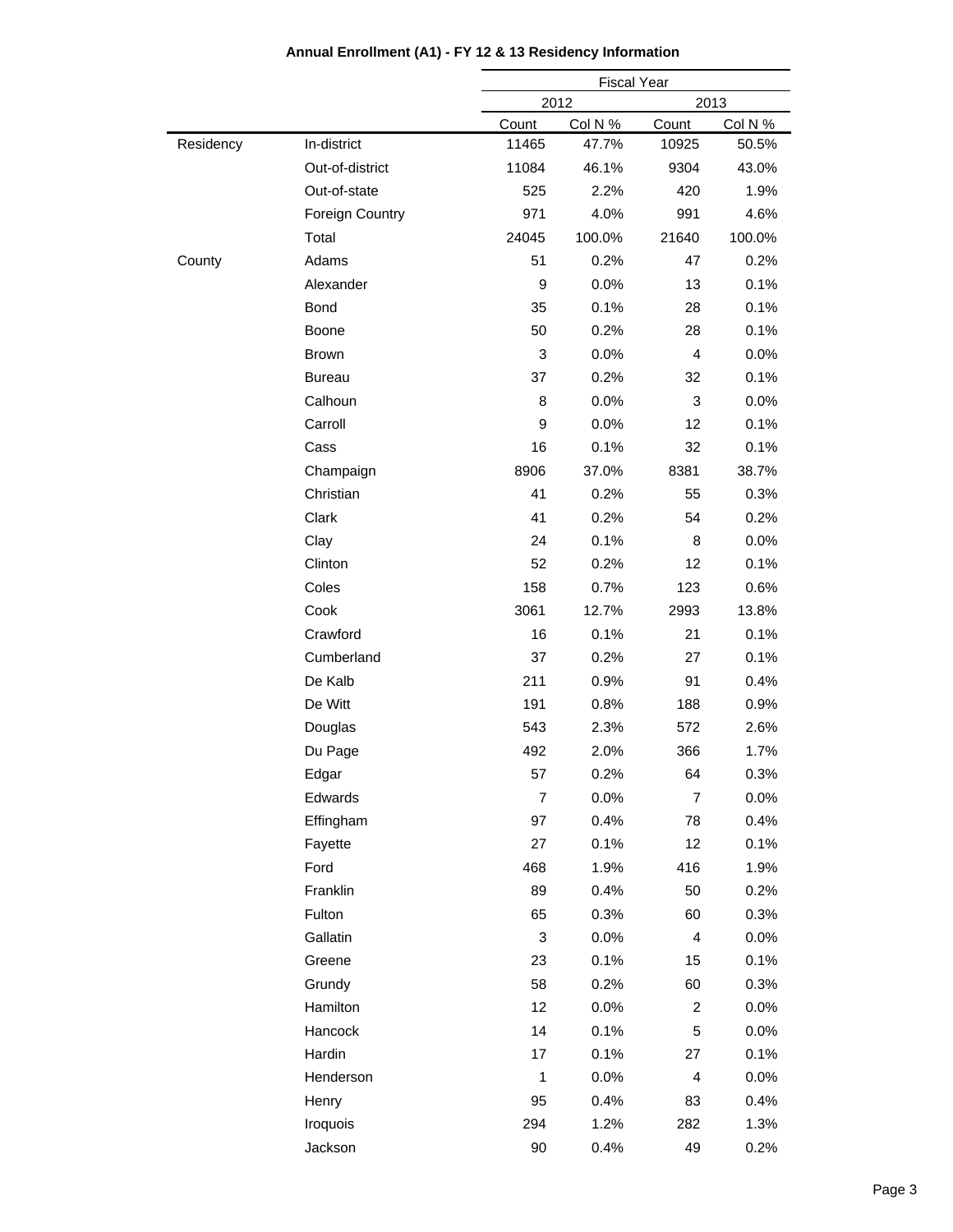|           |                 |                | <b>Fiscal Year</b> |                         |         |  |  |
|-----------|-----------------|----------------|--------------------|-------------------------|---------|--|--|
|           |                 |                | 2012               |                         | 2013    |  |  |
|           |                 | Count          | Col N %            | Count                   | Col N % |  |  |
| Residency | In-district     | 11465          | 47.7%              | 10925                   | 50.5%   |  |  |
|           | Out-of-district | 11084          | 46.1%              | 9304                    | 43.0%   |  |  |
|           | Out-of-state    | 525            | 2.2%               | 420                     | 1.9%    |  |  |
|           | Foreign Country | 971            | 4.0%               | 991                     | 4.6%    |  |  |
|           | Total           | 24045          | 100.0%             | 21640                   | 100.0%  |  |  |
| County    | Adams           | 51             | 0.2%               | 47                      | 0.2%    |  |  |
|           | Alexander       | 9              | 0.0%               | 13                      | 0.1%    |  |  |
|           | Bond            | 35             | 0.1%               | 28                      | 0.1%    |  |  |
|           | Boone           | 50             | 0.2%               | 28                      | 0.1%    |  |  |
|           | <b>Brown</b>    | $\mathbf{3}$   | 0.0%               | $\overline{\mathbf{4}}$ | 0.0%    |  |  |
|           | <b>Bureau</b>   | 37             | 0.2%               | 32                      | 0.1%    |  |  |
|           | Calhoun         | 8              | 0.0%               | 3                       | 0.0%    |  |  |
|           | Carroll         | 9              | 0.0%               | 12                      | 0.1%    |  |  |
|           | Cass            | 16             | 0.1%               | 32                      | 0.1%    |  |  |
|           | Champaign       | 8906           | 37.0%              | 8381                    | 38.7%   |  |  |
|           | Christian       | 41             | 0.2%               | 55                      | 0.3%    |  |  |
|           | Clark           | 41             | 0.2%               | 54                      | 0.2%    |  |  |
|           | Clay            | 24             | 0.1%               | 8                       | 0.0%    |  |  |
|           | Clinton         | 52             | 0.2%               | 12                      | 0.1%    |  |  |
|           | Coles           | 158            | 0.7%               | 123                     | 0.6%    |  |  |
|           | Cook            | 3061           | 12.7%              | 2993                    | 13.8%   |  |  |
|           | Crawford        | 16             | 0.1%               | 21                      | 0.1%    |  |  |
|           | Cumberland      | 37             | 0.2%               | 27                      | 0.1%    |  |  |
|           | De Kalb         | 211            | 0.9%               | 91                      | 0.4%    |  |  |
|           | De Witt         | 191            | 0.8%               | 188                     | 0.9%    |  |  |
|           | Douglas         | 543            | 2.3%               | 572                     | 2.6%    |  |  |
|           | Du Page         | 492            | 2.0%               | 366                     | 1.7%    |  |  |
|           | Edgar           | 57             | 0.2%               | 64                      | 0.3%    |  |  |
|           | Edwards         | $\overline{7}$ | 0.0%               | $\overline{7}$          | 0.0%    |  |  |
|           | Effingham       | 97             | 0.4%               | 78                      | 0.4%    |  |  |
|           | Fayette         | 27             | 0.1%               | 12                      | 0.1%    |  |  |
|           | Ford            | 468            | 1.9%               | 416                     | 1.9%    |  |  |
|           | Franklin        | 89             | 0.4%               | 50                      | 0.2%    |  |  |
|           | Fulton          | 65             | 0.3%               | 60                      | 0.3%    |  |  |
|           | Gallatin        | 3              | 0.0%               | 4                       | 0.0%    |  |  |
|           | Greene          | 23             | 0.1%               | 15                      | 0.1%    |  |  |
|           | Grundy          | 58             | 0.2%               | 60                      | 0.3%    |  |  |
|           | Hamilton        | 12             | 0.0%               | $\overline{c}$          | 0.0%    |  |  |
|           | Hancock         | 14             | 0.1%               | 5                       | 0.0%    |  |  |
|           | Hardin          | 17             | 0.1%               | 27                      | 0.1%    |  |  |
|           | Henderson       | $\mathbf{1}$   | 0.0%               | $\overline{\mathbf{4}}$ | 0.0%    |  |  |
|           | Henry           | 95             | 0.4%               | 83                      | 0.4%    |  |  |
|           | Iroquois        | 294            | 1.2%               | 282                     | 1.3%    |  |  |
|           | Jackson         | 90             | 0.4%               | 49                      | 0.2%    |  |  |
|           |                 |                |                    |                         |         |  |  |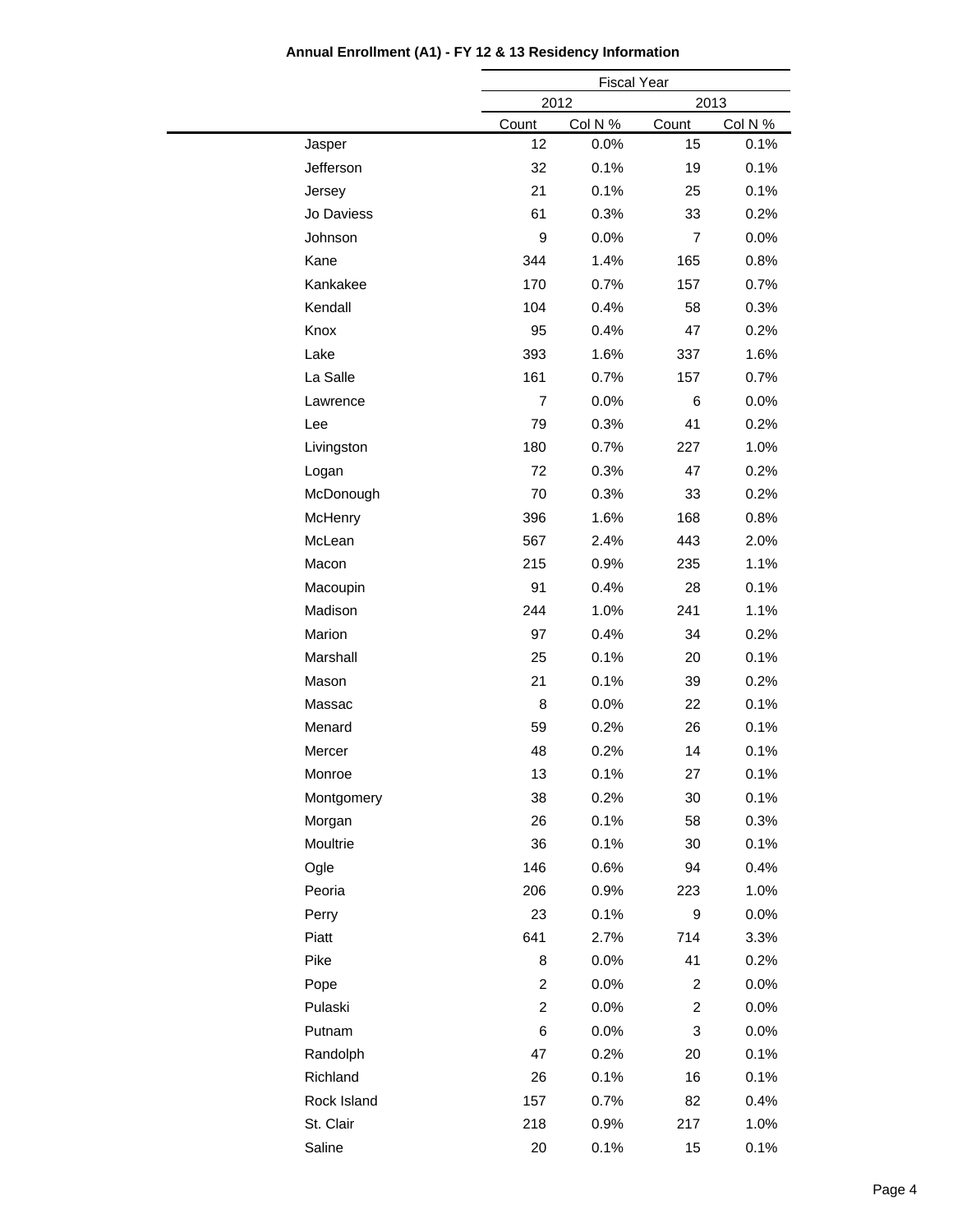|             |                         | <b>Fiscal Year</b> |                  |         |  |
|-------------|-------------------------|--------------------|------------------|---------|--|
|             |                         | 2012               | 2013             |         |  |
|             | Count                   | Col N %            | Count            | Col N % |  |
| Jasper      | 12                      | 0.0%               | 15               | 0.1%    |  |
| Jefferson   | 32                      | 0.1%               | 19               | 0.1%    |  |
| Jersey      | 21                      | 0.1%               | 25               | 0.1%    |  |
| Jo Daviess  | 61                      | 0.3%               | 33               | 0.2%    |  |
| Johnson     | 9                       | 0.0%               | $\overline{7}$   | 0.0%    |  |
| Kane        | 344                     | 1.4%               | 165              | 0.8%    |  |
| Kankakee    | 170                     | 0.7%               | 157              | 0.7%    |  |
| Kendall     | 104                     | 0.4%               | 58               | 0.3%    |  |
| Knox        | 95                      | 0.4%               | 47               | 0.2%    |  |
| Lake        | 393                     | 1.6%               | 337              | 1.6%    |  |
| La Salle    | 161                     | 0.7%               | 157              | 0.7%    |  |
| Lawrence    | $\overline{7}$          | 0.0%               | $6\phantom{1}6$  | 0.0%    |  |
| Lee         | 79                      | 0.3%               | 41               | 0.2%    |  |
| Livingston  | 180                     | 0.7%               | 227              | 1.0%    |  |
| Logan       | 72                      | 0.3%               | 47               | 0.2%    |  |
| McDonough   | 70                      | 0.3%               | 33               | 0.2%    |  |
| McHenry     | 396                     | 1.6%               | 168              | 0.8%    |  |
| McLean      | 567                     | 2.4%               | 443              | 2.0%    |  |
| Macon       | 215                     | 0.9%               | 235              | 1.1%    |  |
| Macoupin    | 91                      | 0.4%               | 28               | 0.1%    |  |
| Madison     | 244                     | 1.0%               | 241              | 1.1%    |  |
| Marion      | 97                      | 0.4%               | 34               | 0.2%    |  |
| Marshall    | 25                      | 0.1%               | 20               | 0.1%    |  |
| Mason       | 21                      | 0.1%               | 39               | 0.2%    |  |
| Massac      | 8                       | 0.0%               | 22               | 0.1%    |  |
| Menard      | 59                      | 0.2%               | 26               | 0.1%    |  |
| Mercer      | 48                      | 0.2%               | 14               | 0.1%    |  |
| Monroe      | 13                      | 0.1%               | 27               | 0.1%    |  |
| Montgomery  | 38                      | 0.2%               | 30               | 0.1%    |  |
| Morgan      | 26                      | 0.1%               | 58               | 0.3%    |  |
| Moultrie    | 36                      | 0.1%               | 30               | 0.1%    |  |
| Ogle        | 146                     | 0.6%               | 94               | 0.4%    |  |
| Peoria      | 206                     | 0.9%               | 223              | 1.0%    |  |
| Perry       | 23                      | 0.1%               | $\boldsymbol{9}$ | 0.0%    |  |
| Piatt       | 641                     | 2.7%               | 714              | 3.3%    |  |
| Pike        | 8                       | 0.0%               | 41               | 0.2%    |  |
| Pope        | $\overline{\mathbf{c}}$ | 0.0%               | $\overline{c}$   | $0.0\%$ |  |
| Pulaski     | $\overline{c}$          | $0.0\%$            | $\overline{c}$   | 0.0%    |  |
| Putnam      | 6                       | 0.0%               | 3                | $0.0\%$ |  |
| Randolph    | 47                      | 0.2%               | 20               | 0.1%    |  |
| Richland    | 26                      | 0.1%               | 16               | 0.1%    |  |
| Rock Island | 157                     | 0.7%               | 82               | 0.4%    |  |
| St. Clair   | 218                     | 0.9%               | 217              | 1.0%    |  |
| Saline      | $20\,$                  | 0.1%               | 15               | 0.1%    |  |
|             |                         |                    |                  |         |  |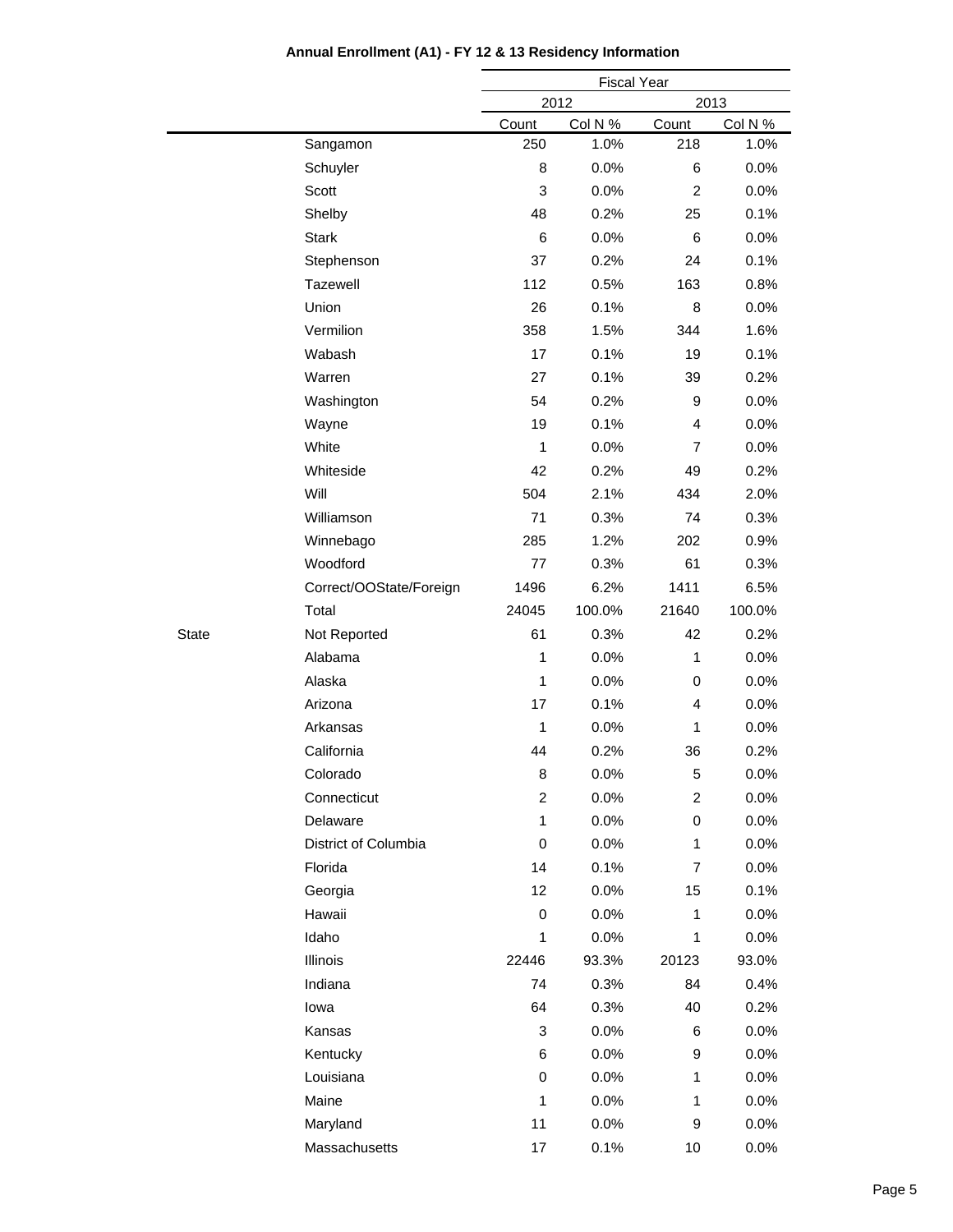|              |                         |              | <b>Fiscal Year</b> |                |         |  |  |
|--------------|-------------------------|--------------|--------------------|----------------|---------|--|--|
|              |                         |              | 2012               |                | 2013    |  |  |
|              |                         | Count        | Col N %            | Count          | Col N % |  |  |
|              | Sangamon                | 250          | 1.0%               | 218            | 1.0%    |  |  |
|              | Schuyler                | 8            | 0.0%               | 6              | 0.0%    |  |  |
|              | Scott                   | 3            | 0.0%               | $\overline{2}$ | 0.0%    |  |  |
|              | Shelby                  | 48           | 0.2%               | 25             | 0.1%    |  |  |
|              | <b>Stark</b>            | 6            | 0.0%               | 6              | 0.0%    |  |  |
|              | Stephenson              | 37           | 0.2%               | 24             | 0.1%    |  |  |
|              | Tazewell                | 112          | 0.5%               | 163            | 0.8%    |  |  |
|              | Union                   | 26           | 0.1%               | 8              | 0.0%    |  |  |
|              | Vermilion               | 358          | 1.5%               | 344            | 1.6%    |  |  |
|              | Wabash                  | 17           | 0.1%               | 19             | 0.1%    |  |  |
|              | Warren                  | 27           | 0.1%               | 39             | 0.2%    |  |  |
|              | Washington              | 54           | 0.2%               | 9              | 0.0%    |  |  |
|              | Wayne                   | 19           | 0.1%               | $\overline{4}$ | 0.0%    |  |  |
|              | White                   | $\mathbf{1}$ | 0.0%               | $\overline{7}$ | 0.0%    |  |  |
|              | Whiteside               | 42           | 0.2%               | 49             | 0.2%    |  |  |
|              | Will                    | 504          | 2.1%               | 434            | 2.0%    |  |  |
|              | Williamson              | 71           | 0.3%               | 74             | 0.3%    |  |  |
|              | Winnebago               | 285          | 1.2%               | 202            | 0.9%    |  |  |
|              | Woodford                | 77           | 0.3%               | 61             | 0.3%    |  |  |
|              | Correct/OOState/Foreign | 1496         | 6.2%               | 1411           | 6.5%    |  |  |
|              | Total                   | 24045        | 100.0%             | 21640          | 100.0%  |  |  |
| <b>State</b> | Not Reported            | 61           | 0.3%               | 42             | 0.2%    |  |  |
|              | Alabama                 | 1            | 0.0%               | 1              | 0.0%    |  |  |
|              | Alaska                  | $\mathbf{1}$ | 0.0%               | $\pmb{0}$      | 0.0%    |  |  |
|              | Arizona                 | 17           | 0.1%               | $\overline{4}$ | 0.0%    |  |  |
|              | Arkansas                | $\mathbf{1}$ | 0.0%               | 1              | 0.0%    |  |  |
|              | California              | 44           | 0.2%               | 36             | 0.2%    |  |  |
|              | Colorado                | 8            | 0.0%               | $\,$ 5 $\,$    | 0.0%    |  |  |
|              | Connecticut             | 2            | 0.0%               | $\overline{c}$ | 0.0%    |  |  |
|              | Delaware                | 1            | 0.0%               | $\mathbf 0$    | 0.0%    |  |  |
|              | District of Columbia    | 0            | 0.0%               | 1              | 0.0%    |  |  |
|              | Florida                 | 14           | 0.1%               | $\overline{7}$ | 0.0%    |  |  |
|              | Georgia                 | 12           | 0.0%               | 15             | 0.1%    |  |  |
|              | Hawaii                  | 0            | 0.0%               | 1              | 0.0%    |  |  |
|              | Idaho                   | 1            | 0.0%               | 1              | 0.0%    |  |  |
|              | Illinois                | 22446        | 93.3%              | 20123          | 93.0%   |  |  |
|              | Indiana                 | 74           | 0.3%               | 84             | 0.4%    |  |  |
|              | lowa                    | 64           | 0.3%               | 40             | 0.2%    |  |  |
|              | Kansas                  | 3            | 0.0%               | 6              | 0.0%    |  |  |
|              | Kentucky                | 6            | 0.0%               | 9              | 0.0%    |  |  |
|              | Louisiana               | 0            | 0.0%               | 1              | 0.0%    |  |  |
|              | Maine                   | 1            | 0.0%               | 1              | 0.0%    |  |  |
|              | Maryland                | 11           | 0.0%               | 9              | 0.0%    |  |  |
|              |                         |              |                    |                |         |  |  |
|              | Massachusetts           | 17           | 0.1%               | $10$           | 0.0%    |  |  |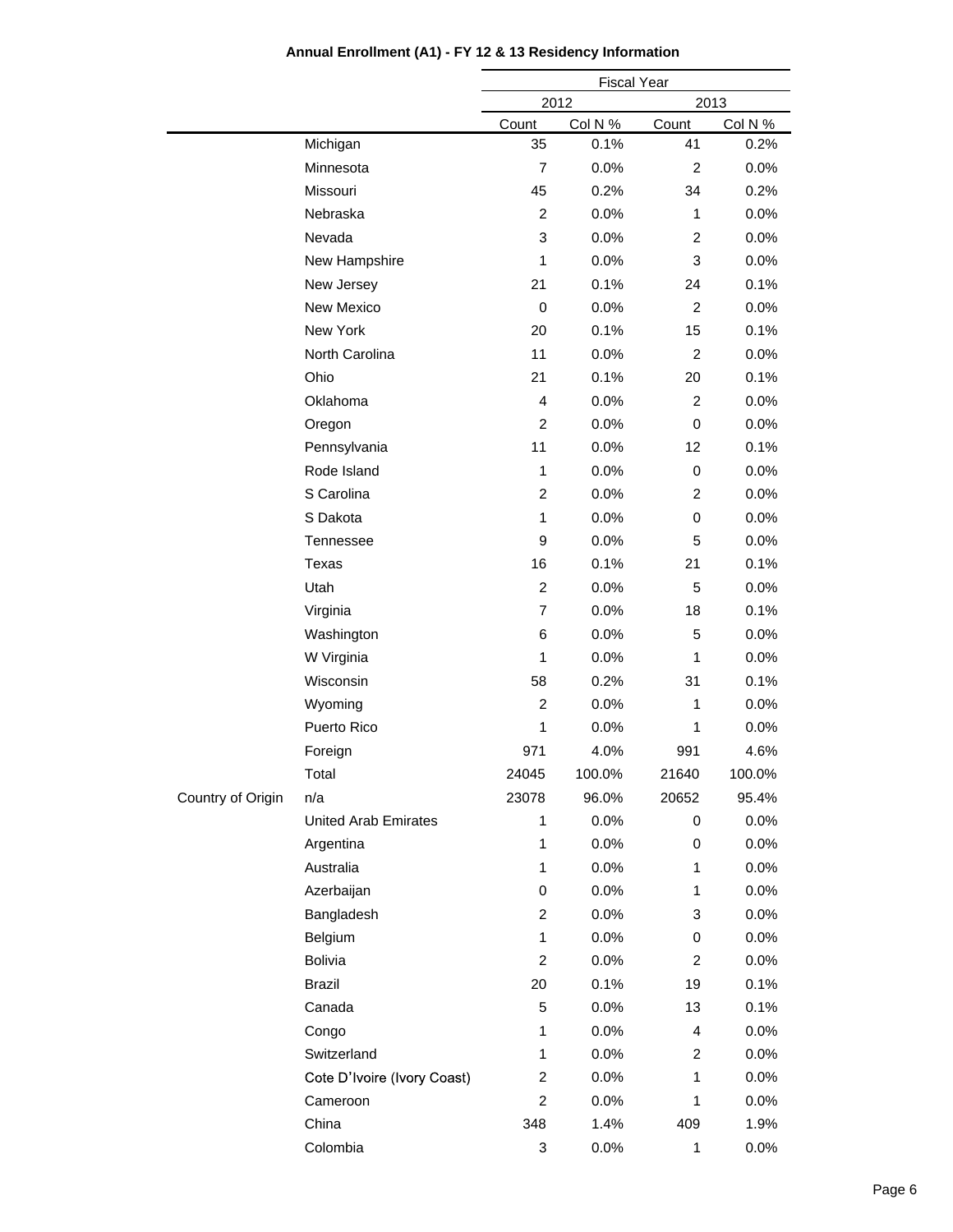|                   |                             | <b>Fiscal Year</b> |         |                |         |
|-------------------|-----------------------------|--------------------|---------|----------------|---------|
|                   |                             |                    | 2012    |                | 2013    |
|                   |                             | Count              | Col N % | Count          | Col N % |
|                   | Michigan                    | 35                 | 0.1%    | 41             | 0.2%    |
|                   | Minnesota                   | $\overline{7}$     | 0.0%    | $\overline{2}$ | $0.0\%$ |
|                   | Missouri                    | 45                 | 0.2%    | 34             | 0.2%    |
|                   | Nebraska                    | $\overline{c}$     | 0.0%    | 1              | 0.0%    |
|                   | Nevada                      | 3                  | 0.0%    | 2              | 0.0%    |
|                   | New Hampshire               | 1                  | 0.0%    | 3              | 0.0%    |
|                   | New Jersey                  | 21                 | 0.1%    | 24             | 0.1%    |
|                   | New Mexico                  | 0                  | 0.0%    | $\overline{2}$ | 0.0%    |
|                   | New York                    | 20                 | 0.1%    | 15             | 0.1%    |
|                   | North Carolina              | 11                 | 0.0%    | $\overline{2}$ | $0.0\%$ |
|                   | Ohio                        | 21                 | 0.1%    | 20             | 0.1%    |
|                   | Oklahoma                    | 4                  | 0.0%    | 2              | 0.0%    |
|                   | Oregon                      | $\overline{2}$     | 0.0%    | 0              | 0.0%    |
|                   | Pennsylvania                | 11                 | 0.0%    | 12             | 0.1%    |
|                   | Rode Island                 | $\mathbf{1}$       | 0.0%    | 0              | 0.0%    |
|                   | S Carolina                  | 2                  | 0.0%    | 2              | 0.0%    |
|                   | S Dakota                    | 1                  | 0.0%    | 0              | 0.0%    |
|                   | Tennessee                   | $\boldsymbol{9}$   | 0.0%    | 5              | 0.0%    |
|                   | Texas                       | 16                 | 0.1%    | 21             | 0.1%    |
|                   | Utah                        | $\overline{c}$     | 0.0%    | 5              | 0.0%    |
|                   | Virginia                    | $\overline{7}$     | 0.0%    | 18             | 0.1%    |
|                   | Washington                  | 6                  | 0.0%    | 5              | $0.0\%$ |
|                   | W Virginia                  | $\mathbf{1}$       | 0.0%    | 1              | 0.0%    |
|                   | Wisconsin                   | 58                 | 0.2%    | 31             | 0.1%    |
|                   | Wyoming                     | $\overline{2}$     | 0.0%    | 1              | 0.0%    |
|                   | Puerto Rico                 | 1                  | 0.0%    | 1              | 0.0%    |
|                   | Foreign                     | 971                | 4.0%    | 991            | 4.6%    |
|                   | Total                       | 24045              | 100.0%  | 21640          | 100.0%  |
| Country of Origin | n/a                         | 23078              | 96.0%   | 20652          | 95.4%   |
|                   | <b>United Arab Emirates</b> | 1                  | 0.0%    | 0              | $0.0\%$ |
|                   | Argentina                   | 1                  | 0.0%    | 0              | 0.0%    |
|                   | Australia                   | 1                  | 0.0%    | 1              | 0.0%    |
|                   | Azerbaijan                  | 0                  | 0.0%    | 1              | 0.0%    |
|                   | Bangladesh                  | $\overline{c}$     | 0.0%    | 3              | 0.0%    |
|                   | Belgium                     | 1                  | 0.0%    | 0              | 0.0%    |
|                   | <b>Bolivia</b>              | $\overline{c}$     | 0.0%    | 2              | 0.0%    |
|                   | <b>Brazil</b>               | 20                 | 0.1%    | 19             | 0.1%    |
|                   | Canada                      | 5                  | 0.0%    | 13             | 0.1%    |
|                   | Congo                       | 1                  | 0.0%    | 4              | 0.0%    |
|                   | Switzerland                 | 1                  | 0.0%    | 2              | 0.0%    |
|                   | Cote D'Ivoire (Ivory Coast) | $\overline{c}$     | 0.0%    | 1              | 0.0%    |
|                   | Cameroon                    | $\overline{c}$     | 0.0%    | 1              | 0.0%    |
|                   | China                       | 348                | 1.4%    | 409            | 1.9%    |
|                   | Colombia                    | 3                  | 0.0%    | 1              | 0.0%    |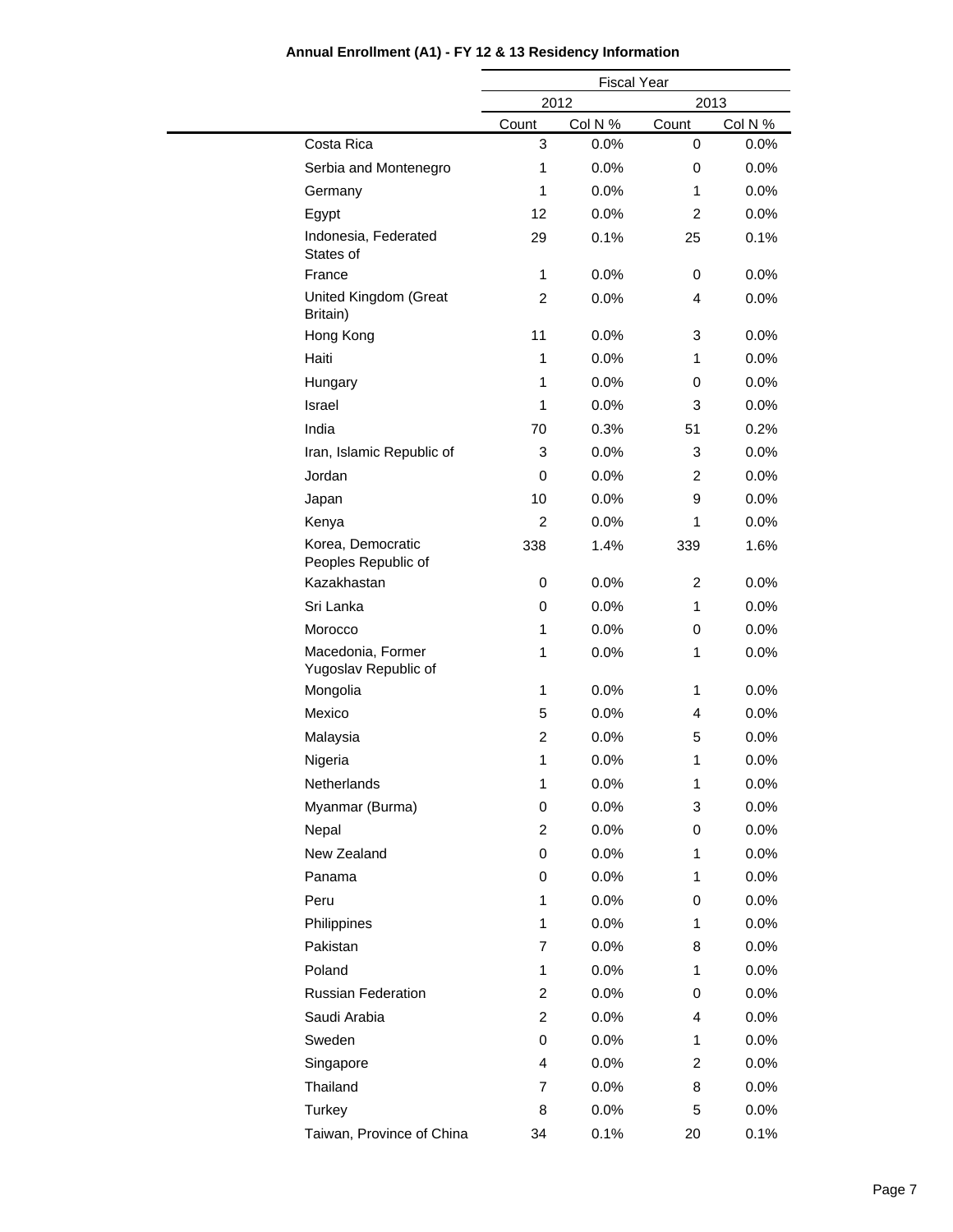|                                           |                         | <b>Fiscal Year</b> |                |         |  |  |
|-------------------------------------------|-------------------------|--------------------|----------------|---------|--|--|
|                                           |                         | 2012               |                | 2013    |  |  |
|                                           | Count                   | Col N %            | Count          | Col N % |  |  |
| Costa Rica                                | 3                       | 0.0%               | 0              | 0.0%    |  |  |
| Serbia and Montenegro                     | 1                       | 0.0%               | 0              | 0.0%    |  |  |
| Germany                                   | $\mathbf{1}$            | 0.0%               | 1              | 0.0%    |  |  |
| Egypt                                     | 12                      | 0.0%               | $\overline{2}$ | 0.0%    |  |  |
| Indonesia, Federated<br>States of         | 29                      | 0.1%               | 25             | 0.1%    |  |  |
| France                                    | 1                       | 0.0%               | 0              | 0.0%    |  |  |
| United Kingdom (Great<br>Britain)         | $\overline{c}$          | 0.0%               | $\overline{4}$ | 0.0%    |  |  |
| Hong Kong                                 | 11                      | 0.0%               | 3              | 0.0%    |  |  |
| Haiti                                     | 1                       | 0.0%               | 1              | 0.0%    |  |  |
| Hungary                                   | $\mathbf{1}$            | 0.0%               | 0              | 0.0%    |  |  |
| <b>Israel</b>                             | 1                       | 0.0%               | 3              | 0.0%    |  |  |
| India                                     | 70                      | 0.3%               | 51             | 0.2%    |  |  |
| Iran, Islamic Republic of                 | 3                       | 0.0%               | 3              | 0.0%    |  |  |
| Jordan                                    | 0                       | 0.0%               | $\overline{c}$ | 0.0%    |  |  |
| Japan                                     | 10                      | 0.0%               | 9              | 0.0%    |  |  |
| Kenya                                     | $\overline{2}$          | 0.0%               | 1              | 0.0%    |  |  |
| Korea, Democratic<br>Peoples Republic of  | 338                     | 1.4%               | 339            | 1.6%    |  |  |
| Kazakhastan                               | 0                       | 0.0%               | $\overline{c}$ | 0.0%    |  |  |
| Sri Lanka                                 | 0                       | 0.0%               | 1              | 0.0%    |  |  |
| Morocco                                   | 1                       | 0.0%               | 0              | 0.0%    |  |  |
| Macedonia, Former<br>Yugoslav Republic of | $\mathbf{1}$            | 0.0%               | 1              | 0.0%    |  |  |
| Mongolia                                  | $\mathbf{1}$            | 0.0%               | 1              | 0.0%    |  |  |
| Mexico                                    | 5                       | 0.0%               | 4              | 0.0%    |  |  |
| Malaysia                                  | $\overline{\mathbf{c}}$ | 0.0%               | 5              | 0.0%    |  |  |
| Nigeria                                   | $\mathbf{1}$            | 0.0%               | 1              | 0.0%    |  |  |
| Netherlands                               | 1                       | 0.0%               | 1              | 0.0%    |  |  |
| Myanmar (Burma)                           | 0                       | 0.0%               | 3              | 0.0%    |  |  |
| Nepal                                     | $\overline{c}$          | 0.0%               | 0              | $0.0\%$ |  |  |
| New Zealand                               | 0                       | 0.0%               | 1              | 0.0%    |  |  |
| Panama                                    | $\,0\,$                 | 0.0%               | 1              | 0.0%    |  |  |
| Peru                                      | 1                       | 0.0%               | 0              | 0.0%    |  |  |
| Philippines                               | $\mathbf{1}$            | 0.0%               | 1              | 0.0%    |  |  |
| Pakistan                                  | 7                       | 0.0%               | 8              | 0.0%    |  |  |
| Poland                                    | $\mathbf{1}$            | 0.0%               | 1              | 0.0%    |  |  |
| <b>Russian Federation</b>                 | $\overline{\mathbf{c}}$ | 0.0%               | 0              | 0.0%    |  |  |
| Saudi Arabia                              | $\overline{c}$          | 0.0%               | 4              | 0.0%    |  |  |
| Sweden                                    | 0                       | 0.0%               | 1              | 0.0%    |  |  |
| Singapore                                 | 4                       | 0.0%               | $\overline{c}$ | 0.0%    |  |  |
| Thailand                                  | 7                       | 0.0%               | 8              | 0.0%    |  |  |
| Turkey                                    | 8                       | 0.0%               | 5              | 0.0%    |  |  |
| Taiwan, Province of China                 | 34                      | 0.1%               | 20             | 0.1%    |  |  |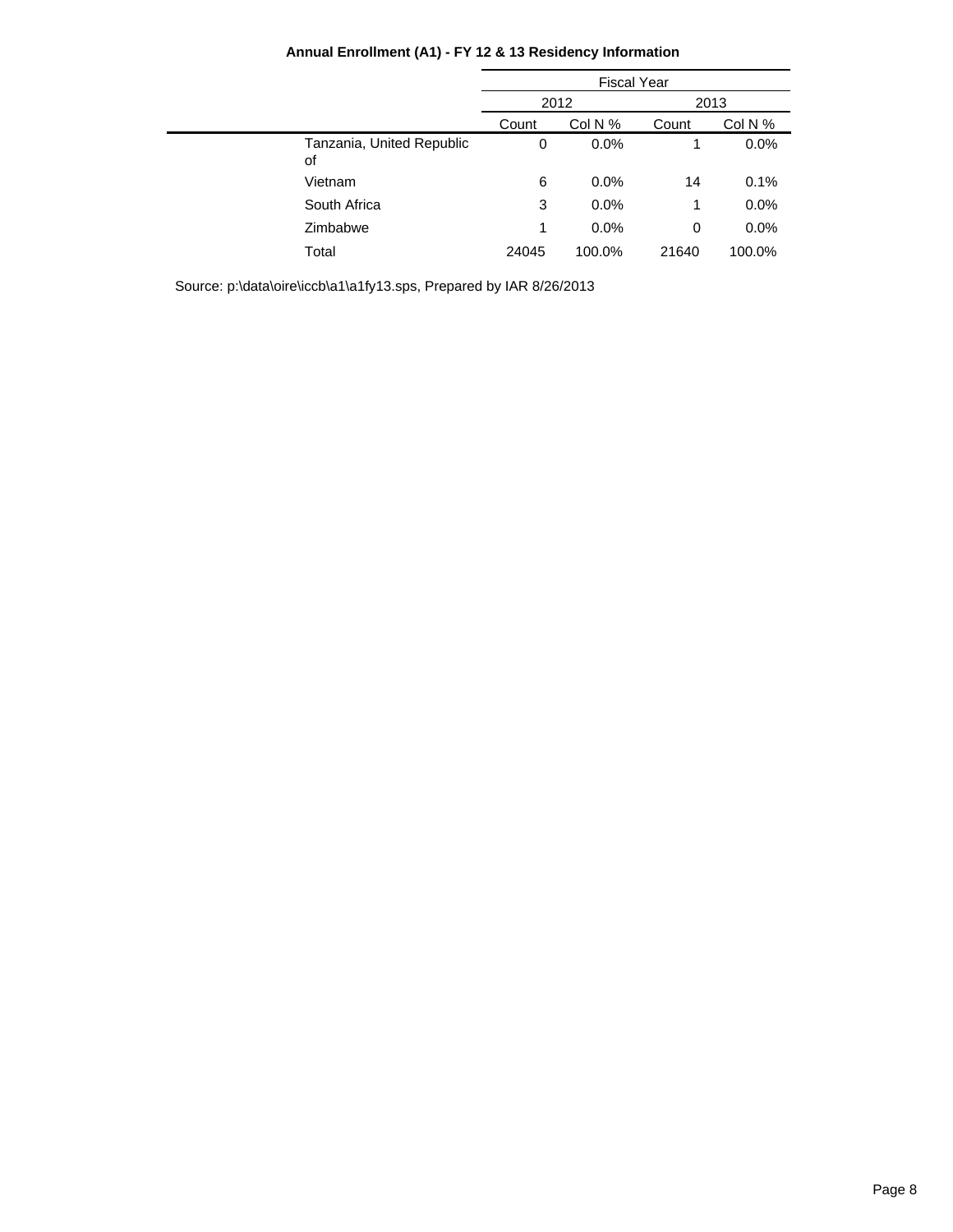| Annual Enrollment (A1) - FY 12 & 13 Residency Information |  |  |  |
|-----------------------------------------------------------|--|--|--|
|-----------------------------------------------------------|--|--|--|

|                                 | <b>Fiscal Year</b> |         |       |         |
|---------------------------------|--------------------|---------|-------|---------|
|                                 |                    | 2012    | 2013  |         |
|                                 | Count              | Col N % | Count | Col N % |
| Tanzania, United Republic<br>οf | 0                  | 0.0%    | 1     | 0.0%    |
| Vietnam                         | 6                  | 0.0%    | 14    | 0.1%    |
| South Africa                    | 3                  | 0.0%    | 1     | 0.0%    |
| Zimbabwe                        | 1                  | 0.0%    | 0     | 0.0%    |
| Total                           | 24045              | 100.0%  | 21640 | 100.0%  |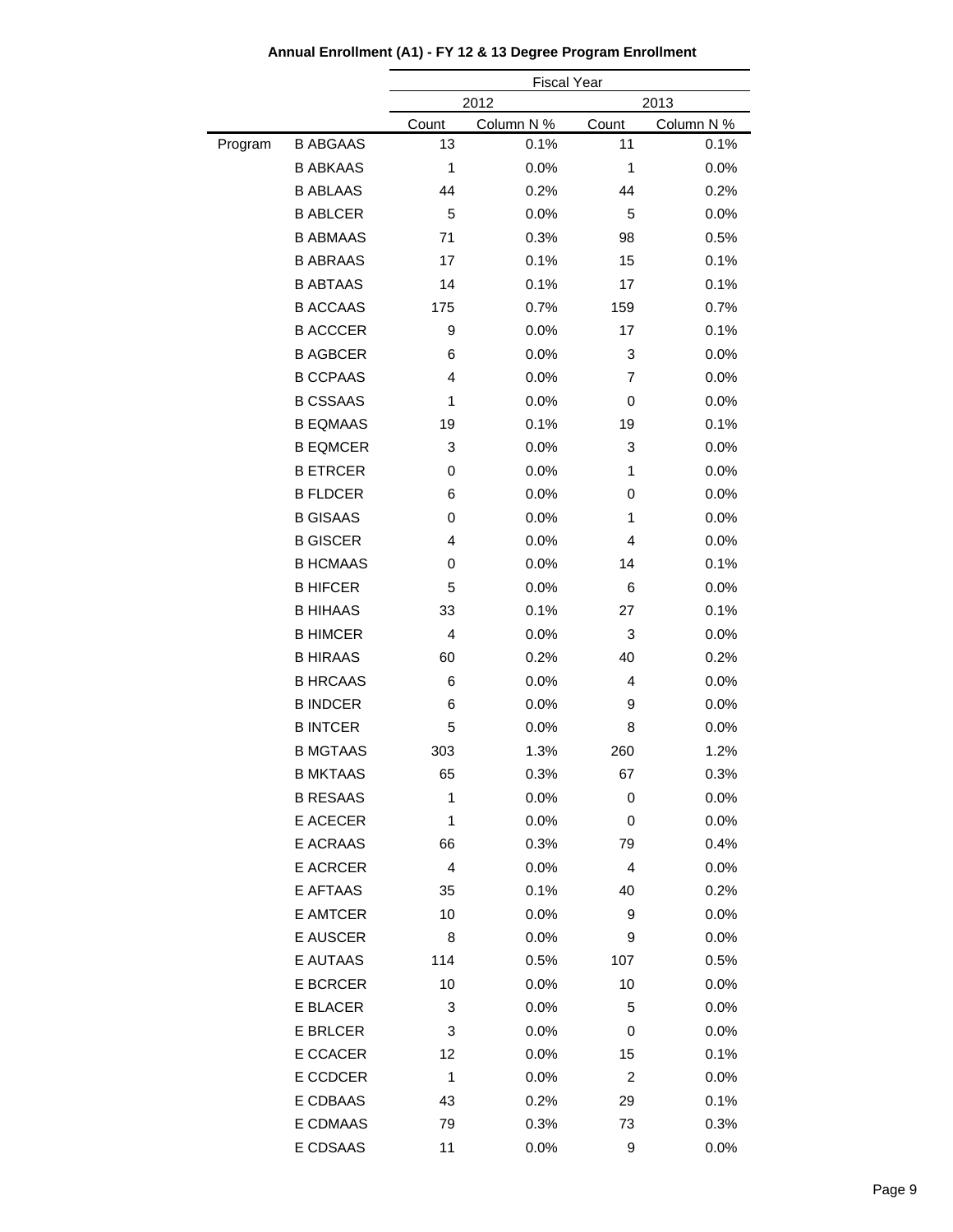|         |                 |                         | <b>Fiscal Year</b> |       |            |  |
|---------|-----------------|-------------------------|--------------------|-------|------------|--|
|         |                 |                         | 2012               |       | 2013       |  |
|         |                 | Count                   | Column N %         | Count | Column N % |  |
| Program | <b>B ABGAAS</b> | 13                      | 0.1%               | 11    | 0.1%       |  |
|         | <b>B ABKAAS</b> | $\mathbf{1}$            | 0.0%               | 1     | 0.0%       |  |
|         | <b>B ABLAAS</b> | 44                      | 0.2%               | 44    | 0.2%       |  |
|         | <b>B ABLCER</b> | 5                       | 0.0%               | 5     | 0.0%       |  |
|         | <b>B ABMAAS</b> | 71                      | 0.3%               | 98    | 0.5%       |  |
|         | <b>B ABRAAS</b> | 17                      | 0.1%               | 15    | 0.1%       |  |
|         | <b>B ABTAAS</b> | 14                      | 0.1%               | 17    | 0.1%       |  |
|         | <b>B ACCAAS</b> | 175                     | 0.7%               | 159   | 0.7%       |  |
|         | <b>B ACCCER</b> | 9                       | 0.0%               | 17    | 0.1%       |  |
|         | <b>B AGBCER</b> | 6                       | 0.0%               | 3     | 0.0%       |  |
|         | <b>B CCPAAS</b> | 4                       | 0.0%               | 7     | 0.0%       |  |
|         | <b>B CSSAAS</b> | 1                       | 0.0%               | 0     | 0.0%       |  |
|         | <b>B EQMAAS</b> | 19                      | 0.1%               | 19    | 0.1%       |  |
|         | <b>B EQMCER</b> | 3                       | 0.0%               | 3     | 0.0%       |  |
|         | <b>B ETRCER</b> | 0                       | 0.0%               | 1     | 0.0%       |  |
|         | <b>B FLDCER</b> | 6                       | 0.0%               | 0     | 0.0%       |  |
|         | <b>B GISAAS</b> | 0                       | 0.0%               | 1     | 0.0%       |  |
|         | <b>B GISCER</b> | 4                       | 0.0%               | 4     | 0.0%       |  |
|         | <b>B HCMAAS</b> | 0                       | 0.0%               | 14    | 0.1%       |  |
|         | <b>B HIFCER</b> | 5                       | 0.0%               | 6     | 0.0%       |  |
|         | <b>B HIHAAS</b> | 33                      | 0.1%               | 27    | 0.1%       |  |
|         | <b>B HIMCER</b> | $\overline{4}$          | 0.0%               | 3     | 0.0%       |  |
|         | <b>B HIRAAS</b> | 60                      | 0.2%               | 40    | 0.2%       |  |
|         | <b>B HRCAAS</b> | 6                       | 0.0%               | 4     | 0.0%       |  |
|         | <b>B INDCER</b> | 6                       | 0.0%               | 9     | 0.0%       |  |
|         | <b>B INTCER</b> | 5                       | 0.0%               | 8     | 0.0%       |  |
|         | <b>B MGTAAS</b> | 303                     | 1.3%               | 260   | 1.2%       |  |
|         | <b>B MKTAAS</b> | 65                      | 0.3%               | 67    | 0.3%       |  |
|         | <b>B RESAAS</b> | 1                       | 0.0%               | 0     | 0.0%       |  |
|         | E ACECER        | 1                       | 0.0%               | 0     | 0.0%       |  |
|         | E ACRAAS        | 66                      | 0.3%               | 79    | 0.4%       |  |
|         | <b>E ACRCER</b> | $\overline{\mathbf{4}}$ | 0.0%               | 4     | $0.0\%$    |  |
|         | E AFTAAS        | 35                      | 0.1%               | 40    | 0.2%       |  |
|         | <b>E AMTCER</b> | 10                      | 0.0%               | 9     | 0.0%       |  |
|         | E AUSCER        | 8                       | 0.0%               | 9     | 0.0%       |  |
|         | E AUTAAS        | 114                     | 0.5%               | 107   | 0.5%       |  |
|         | <b>E BCRCER</b> | 10                      | 0.0%               | 10    | 0.0%       |  |
|         | E BLACER        | 3                       | 0.0%               | 5     | 0.0%       |  |
|         | <b>E BRLCER</b> | 3                       | 0.0%               | 0     | 0.0%       |  |
|         | E CCACER        | 12                      | $0.0\%$            | 15    | 0.1%       |  |
|         | E CCDCER        | 1                       | 0.0%               | 2     | 0.0%       |  |
|         | E CDBAAS        | 43                      | 0.2%               | 29    | 0.1%       |  |
|         | E CDMAAS        | 79                      | 0.3%               | 73    | 0.3%       |  |
|         | E CDSAAS        | 11                      | 0.0%               | 9     | 0.0%       |  |
|         |                 |                         |                    |       |            |  |

**Annual Enrollment (A1) - FY 12 & 13 Degree Program Enrollment**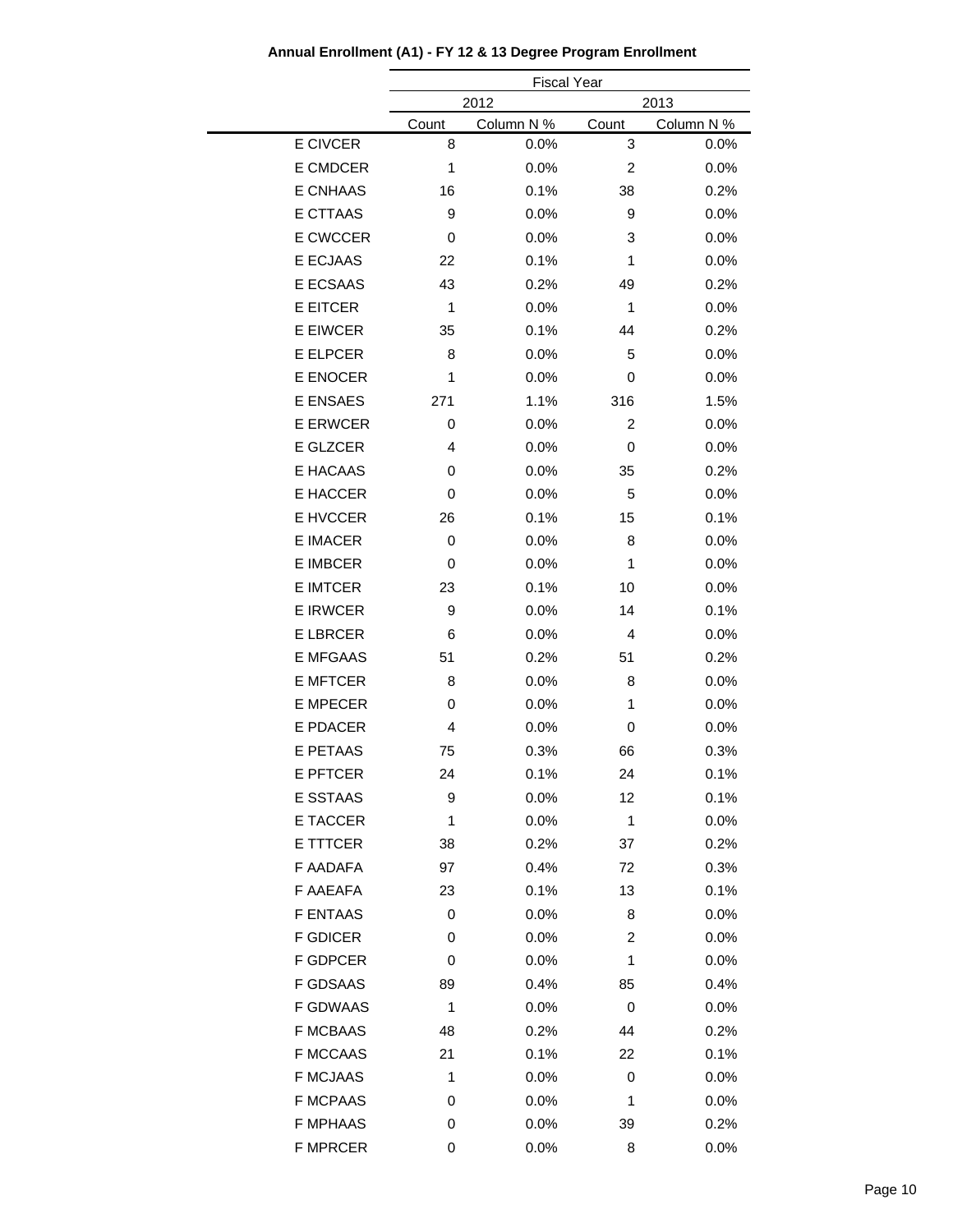|                 | <b>Fiscal Year</b> |            |                |            |  |
|-----------------|--------------------|------------|----------------|------------|--|
|                 |                    | 2012       |                | 2013       |  |
|                 | Count              | Column N % | Count          | Column N % |  |
| E CIVCER        | 8                  | 0.0%       | 3              | 0.0%       |  |
| E CMDCER        | $\mathbf{1}$       | 0.0%       | $\overline{c}$ | 0.0%       |  |
| <b>E CNHAAS</b> | 16                 | 0.1%       | 38             | 0.2%       |  |
| E CTTAAS        | 9                  | 0.0%       | 9              | 0.0%       |  |
| <b>E CWCCER</b> | 0                  | 0.0%       | 3              | 0.0%       |  |
| E ECJAAS        | 22                 | 0.1%       | 1              | 0.0%       |  |
| <b>E ECSAAS</b> | 43                 | 0.2%       | 49             | 0.2%       |  |
| <b>E EITCER</b> | $\mathbf{1}$       | 0.0%       | $\mathbf{1}$   | 0.0%       |  |
| <b>E EIWCER</b> | 35                 | 0.1%       | 44             | 0.2%       |  |
| <b>E ELPCER</b> | 8                  | 0.0%       | 5              | 0.0%       |  |
| <b>E ENOCER</b> | 1                  | 0.0%       | 0              | 0.0%       |  |
| <b>E ENSAES</b> | 271                | 1.1%       | 316            | 1.5%       |  |
| <b>E ERWCER</b> | 0                  | 0.0%       | 2              | 0.0%       |  |
| E GLZCER        | 4                  | 0.0%       | 0              | 0.0%       |  |
| E HACAAS        | 0                  | 0.0%       | 35             | 0.2%       |  |
| E HACCER        | 0                  | 0.0%       | 5              | 0.0%       |  |
| E HVCCER        | 26                 | 0.1%       | 15             | 0.1%       |  |
| <b>E IMACER</b> | 0                  | 0.0%       | 8              | 0.0%       |  |
| <b>E IMBCER</b> | 0                  | 0.0%       | 1              | 0.0%       |  |
| <b>E IMTCER</b> | 23                 | 0.1%       | 10             | 0.0%       |  |
| <b>E IRWCER</b> | 9                  | 0.0%       | 14             | 0.1%       |  |
| <b>E LBRCER</b> | 6                  | 0.0%       | 4              | 0.0%       |  |
| <b>E MFGAAS</b> | 51                 | 0.2%       | 51             | 0.2%       |  |
| <b>E MFTCER</b> | 8                  | 0.0%       | 8              | 0.0%       |  |
| <b>E MPECER</b> | 0                  | 0.0%       | 1              | 0.0%       |  |
| <b>E PDACER</b> | 4                  | 0.0%       | 0              | 0.0%       |  |
| <b>E PETAAS</b> | 75                 | 0.3%       | 66             | 0.3%       |  |
| <b>E PFTCER</b> | 24                 | 0.1%       | 24             | 0.1%       |  |
| E SSTAAS        | 9                  | 0.0%       | 12             | 0.1%       |  |
| <b>E TACCER</b> | 1                  | 0.0%       | 1              | 0.0%       |  |
| E TTTCER        | 38                 | 0.2%       | 37             | 0.2%       |  |
| F AADAFA        | 97                 | 0.4%       | 72             | 0.3%       |  |
| F AAEAFA        | 23                 | 0.1%       | 13             | 0.1%       |  |
| <b>F ENTAAS</b> | 0                  | 0.0%       | 8              | 0.0%       |  |
| <b>F GDICER</b> | 0                  | 0.0%       | 2              | 0.0%       |  |
| F GDPCER        | 0                  | 0.0%       | 1              | 0.0%       |  |
| F GDSAAS        | 89                 | 0.4%       | 85             | 0.4%       |  |
| <b>F GDWAAS</b> | 1                  | 0.0%       | 0              | 0.0%       |  |
| <b>F MCBAAS</b> | 48                 | 0.2%       | 44             | 0.2%       |  |
| <b>F MCCAAS</b> | 21                 | 0.1%       | 22             | 0.1%       |  |
| <b>F MCJAAS</b> | 1                  | 0.0%       | 0              | 0.0%       |  |
| <b>F MCPAAS</b> | 0                  | 0.0%       | 1              | 0.0%       |  |
| <b>F MPHAAS</b> | 0                  | 0.0%       | 39             | 0.2%       |  |
| <b>F MPRCER</b> | 0                  | 0.0%       | 8              | 0.0%       |  |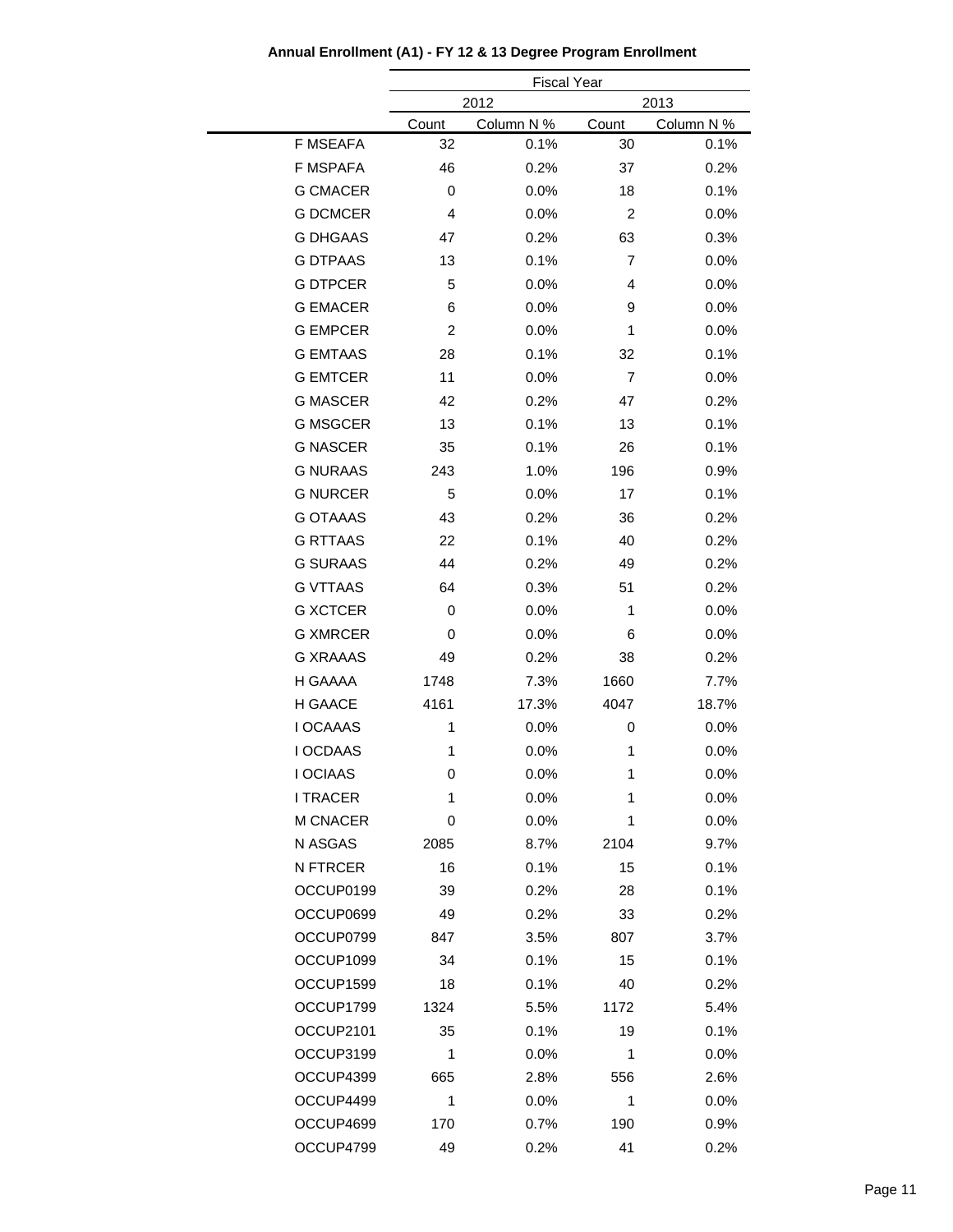|                 |       | <b>Fiscal Year</b> |                |            |  |
|-----------------|-------|--------------------|----------------|------------|--|
|                 |       | 2012<br>2013       |                |            |  |
|                 | Count | Column N %         | Count          | Column N % |  |
| <b>F MSEAFA</b> | 32    | 0.1%               | 30             | 0.1%       |  |
| F MSPAFA        | 46    | 0.2%               | 37             | 0.2%       |  |
| <b>G CMACER</b> | 0     | 0.0%               | 18             | 0.1%       |  |
| <b>G DCMCER</b> | 4     | 0.0%               | $\overline{c}$ | 0.0%       |  |
| <b>G DHGAAS</b> | 47    | 0.2%               | 63             | 0.3%       |  |
| <b>G DTPAAS</b> | 13    | 0.1%               | $\overline{7}$ | 0.0%       |  |
| <b>G DTPCER</b> | 5     | 0.0%               | 4              | 0.0%       |  |
| <b>G EMACER</b> | 6     | 0.0%               | 9              | 0.0%       |  |
| <b>G EMPCER</b> | 2     | 0.0%               | 1              | 0.0%       |  |
| <b>G EMTAAS</b> | 28    | 0.1%               | 32             | 0.1%       |  |
| <b>G EMTCER</b> | 11    | 0.0%               | 7              | 0.0%       |  |
| <b>G MASCER</b> | 42    | 0.2%               | 47             | 0.2%       |  |
| <b>G MSGCER</b> | 13    | 0.1%               | 13             | 0.1%       |  |
| <b>G NASCER</b> | 35    | 0.1%               | 26             | 0.1%       |  |
| <b>G NURAAS</b> | 243   | 1.0%               | 196            | 0.9%       |  |
| <b>G NURCER</b> | 5     | 0.0%               | 17             | 0.1%       |  |
| <b>G OTAAAS</b> | 43    | 0.2%               | 36             | 0.2%       |  |
| <b>G RTTAAS</b> | 22    | 0.1%               | 40             | 0.2%       |  |
| <b>G SURAAS</b> | 44    | 0.2%               | 49             | 0.2%       |  |
| <b>G VTTAAS</b> | 64    | 0.3%               | 51             | 0.2%       |  |
| <b>G XCTCER</b> | 0     | 0.0%               | 1              | 0.0%       |  |
| <b>G XMRCER</b> | 0     | 0.0%               | 6              | 0.0%       |  |
| <b>G XRAAAS</b> | 49    | 0.2%               | 38             | 0.2%       |  |
| H GAAAA         | 1748  | 7.3%               | 1660           | 7.7%       |  |
| H GAACE         | 4161  | 17.3%              | 4047           | 18.7%      |  |
| <b>I OCAAAS</b> | 1     | 0.0%               | 0              | 0.0%       |  |
| <b>I OCDAAS</b> | 1     | 0.0%               | 1              | 0.0%       |  |
| I OCIAAS        | 0     | 0.0%               | 1              | 0.0%       |  |
| <b>I TRACER</b> | 1     | 0.0%               | 1              | $0.0\%$    |  |
| M CNACER        | 0     | 0.0%               | 1              | 0.0%       |  |
| N ASGAS         | 2085  | 8.7%               | 2104           | 9.7%       |  |
| N FTRCER        | 16    | 0.1%               | 15             | 0.1%       |  |
| OCCUP0199       | 39    | 0.2%               | 28             | 0.1%       |  |
| OCCUP0699       | 49    | 0.2%               | 33             | 0.2%       |  |
| OCCUP0799       | 847   | 3.5%               | 807            | 3.7%       |  |
| OCCUP1099       | 34    | 0.1%               | 15             | 0.1%       |  |
| OCCUP1599       | 18    | 0.1%               | 40             | 0.2%       |  |
| OCCUP1799       | 1324  | 5.5%               | 1172           | 5.4%       |  |
| OCCUP2101       | 35    | 0.1%               | 19             | 0.1%       |  |
| OCCUP3199       | 1     | 0.0%               | 1              | 0.0%       |  |
| OCCUP4399       | 665   | 2.8%               | 556            | 2.6%       |  |
| OCCUP4499       | 1     | 0.0%               | 1              | $0.0\%$    |  |
| OCCUP4699       | 170   | 0.7%               | 190            | 0.9%       |  |
| OCCUP4799       | 49    | 0.2%               | 41             | 0.2%       |  |
|                 |       |                    |                |            |  |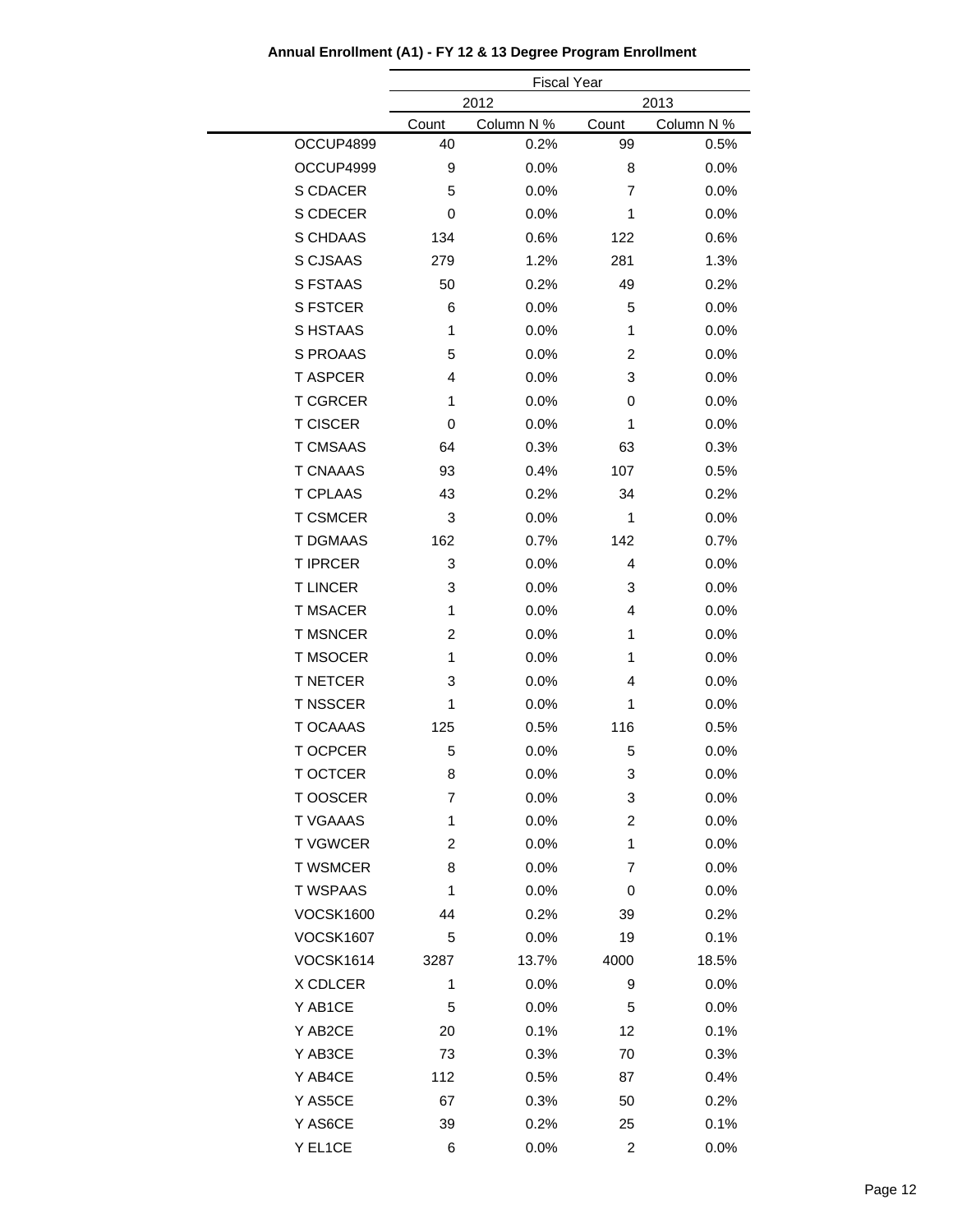|                  | <b>Fiscal Year</b> |            |                |            |
|------------------|--------------------|------------|----------------|------------|
|                  |                    | 2012       |                | 2013       |
|                  | Count              | Column N % | Count          | Column N % |
| OCCUP4899        | 40                 | 0.2%       | 99             | 0.5%       |
| OCCUP4999        | 9                  | 0.0%       | 8              | 0.0%       |
| S CDACER         | 5                  | 0.0%       | 7              | 0.0%       |
| S CDECER         | 0                  | 0.0%       | 1              | 0.0%       |
| <b>S CHDAAS</b>  | 134                | 0.6%       | 122            | 0.6%       |
| S CJSAAS         | 279                | 1.2%       | 281            | 1.3%       |
| <b>S FSTAAS</b>  | 50                 | 0.2%       | 49             | 0.2%       |
| <b>S FSTCER</b>  | 6                  | 0.0%       | 5              | 0.0%       |
| S HSTAAS         | 1                  | 0.0%       | 1              | 0.0%       |
| S PROAAS         | 5                  | 0.0%       | 2              | 0.0%       |
| <b>TASPCER</b>   | 4                  | 0.0%       | 3              | 0.0%       |
| <b>T CGRCER</b>  | $\mathbf{1}$       | 0.0%       | 0              | 0.0%       |
| <b>T CISCER</b>  | 0                  | 0.0%       | 1              | 0.0%       |
| <b>T CMSAAS</b>  | 64                 | 0.3%       | 63             | 0.3%       |
| <b>T CNAAAS</b>  | 93                 | 0.4%       | 107            | 0.5%       |
| <b>T CPLAAS</b>  | 43                 | 0.2%       | 34             | 0.2%       |
| <b>T CSMCER</b>  | 3                  | 0.0%       | 1              | 0.0%       |
| <b>T DGMAAS</b>  | 162                | 0.7%       | 142            | 0.7%       |
| <b>T IPRCER</b>  | 3                  | 0.0%       | $\overline{4}$ | 0.0%       |
| <b>TLINCER</b>   | 3                  | 0.0%       | 3              | 0.0%       |
| <b>T MSACER</b>  | 1                  | 0.0%       | 4              | 0.0%       |
| <b>T MSNCER</b>  | $\overline{c}$     | 0.0%       | 1              | 0.0%       |
| <b>T MSOCER</b>  | 1                  | 0.0%       | 1              | 0.0%       |
| <b>T NETCER</b>  | 3                  | 0.0%       | 4              | 0.0%       |
| <b>T NSSCER</b>  | 1                  | 0.0%       | 1              | 0.0%       |
| <b>T OCAAAS</b>  | 125                | 0.5%       | 116            | 0.5%       |
| <b>TOCPCER</b>   | 5                  | 0.0%       | 5              | 0.0%       |
| <b>T OCTCER</b>  | 8                  | 0.0%       | 3              | 0.0%       |
| <b>TOOSCER</b>   | 7                  | 0.0%       | 3              | $0.0\%$    |
| <b>T VGAAAS</b>  | 1                  | 0.0%       | $\overline{c}$ | 0.0%       |
| <b>TVGWCER</b>   | 2                  | 0.0%       | 1              | 0.0%       |
| <b>T WSMCER</b>  | 8                  | 0.0%       | 7              | 0.0%       |
| <b>T WSPAAS</b>  | 1                  | 0.0%       | 0              | $0.0\%$    |
| <b>VOCSK1600</b> | 44                 | 0.2%       | 39             | 0.2%       |
| <b>VOCSK1607</b> | 5                  | 0.0%       | 19             | 0.1%       |
| <b>VOCSK1614</b> | 3287               | 13.7%      | 4000           | 18.5%      |
| X CDLCER         | 1                  | 0.0%       | 9              | 0.0%       |
| Y AB1CE          | 5                  | 0.0%       | 5              | 0.0%       |
| Y AB2CE          | 20                 | 0.1%       | 12             | 0.1%       |
| Y AB3CE          | 73                 | 0.3%       | 70             | 0.3%       |
| Y AB4CE          | 112                | 0.5%       | 87             | 0.4%       |
| Y AS5CE          | 67                 | 0.3%       | 50             | 0.2%       |
| Y AS6CE          | 39                 | 0.2%       | 25             | 0.1%       |
| Y EL1CE          | 6                  | 0.0%       | 2              | 0.0%       |
|                  |                    |            |                |            |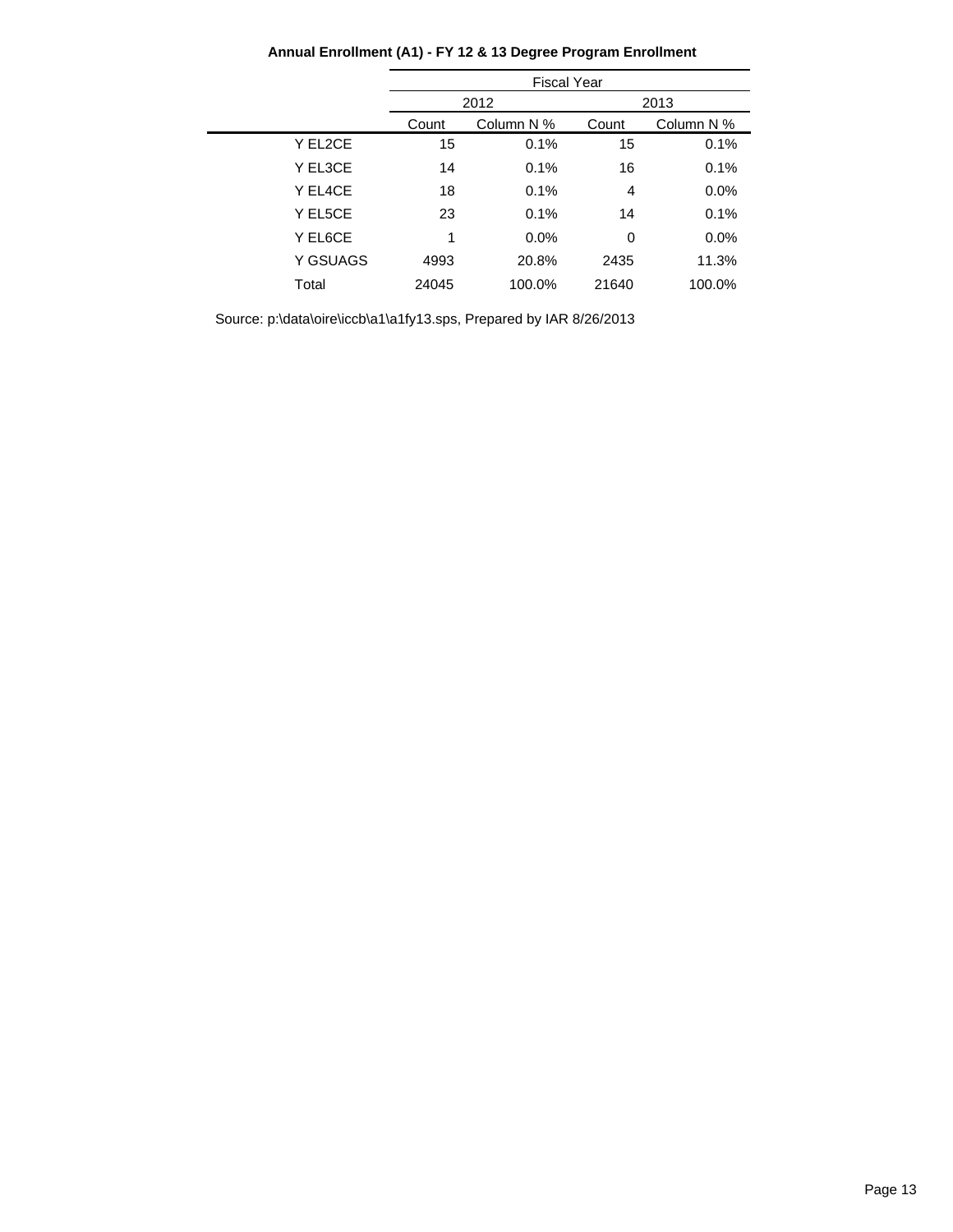|          | <b>Fiscal Year</b> |            |       |            |
|----------|--------------------|------------|-------|------------|
|          | 2012               |            |       | 2013       |
|          | Count              | Column N % | Count | Column N % |
| Y EL2CE  | 15                 | 0.1%       | 15    | 0.1%       |
| Y EL3CE  | 14                 | 0.1%       | 16    | 0.1%       |
| Y EL4CE  | 18                 | 0.1%       | 4     | 0.0%       |
| Y EL5CE  | 23                 | 0.1%       | 14    | 0.1%       |
| Y EL6CE  | 1                  | 0.0%       | 0     | 0.0%       |
| Y GSUAGS | 4993               | 20.8%      | 2435  | 11.3%      |
| Total    | 24045              | 100.0%     | 21640 | 100.0%     |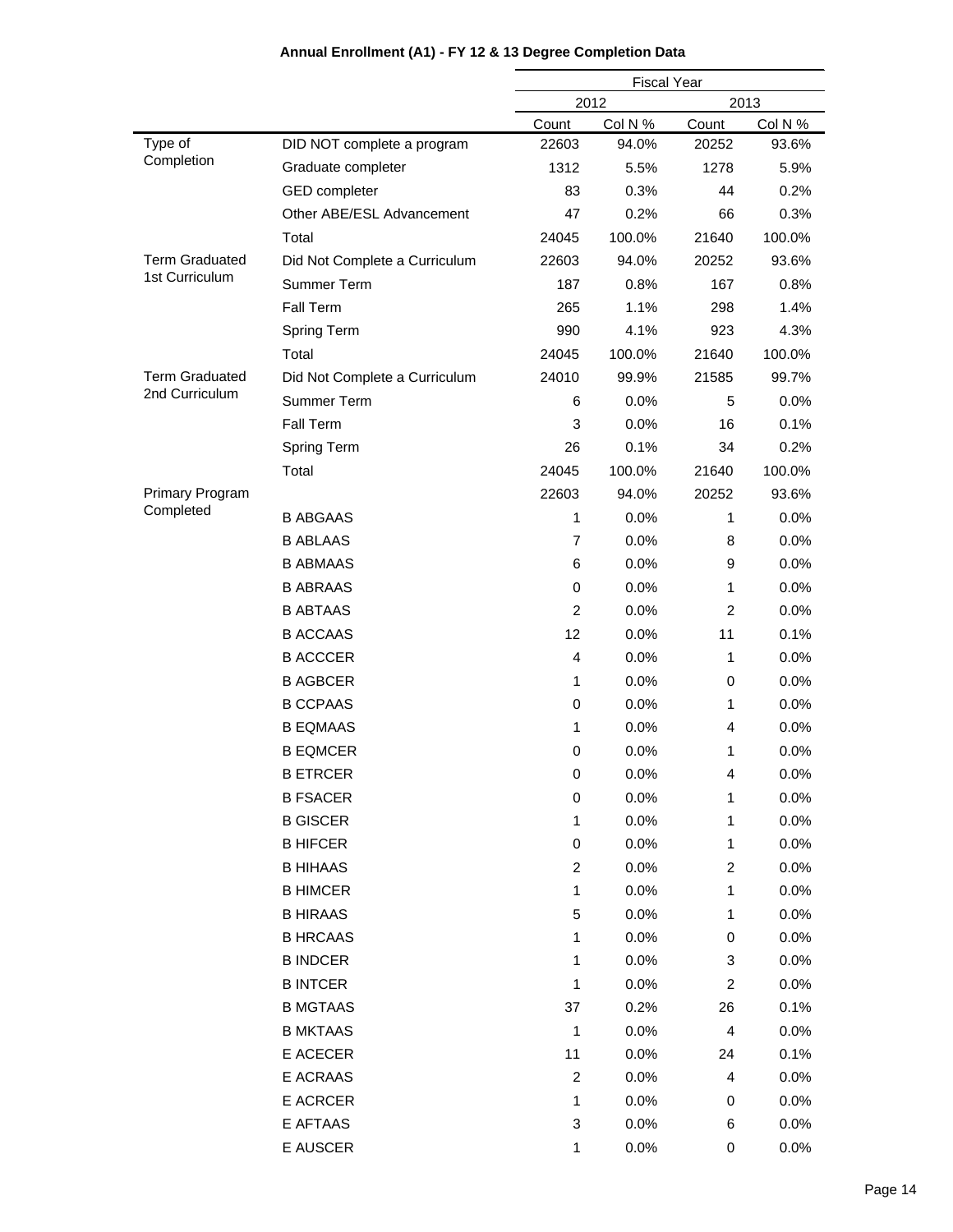|                        |                               | <b>Fiscal Year</b> |         |                         |         |
|------------------------|-------------------------------|--------------------|---------|-------------------------|---------|
|                        |                               | 2012<br>2013       |         |                         |         |
|                        |                               | Count              | Col N % | Count                   | Col N % |
| Type of                | DID NOT complete a program    | 22603              | 94.0%   | 20252                   | 93.6%   |
| Completion             | Graduate completer            | 1312               | 5.5%    | 1278                    | 5.9%    |
|                        | <b>GED</b> completer          | 83                 | 0.3%    | 44                      | 0.2%    |
|                        | Other ABE/ESL Advancement     | 47                 | 0.2%    | 66                      | 0.3%    |
|                        | Total                         | 24045              | 100.0%  | 21640                   | 100.0%  |
| <b>Term Graduated</b>  | Did Not Complete a Curriculum | 22603              | 94.0%   | 20252                   | 93.6%   |
| 1st Curriculum         | Summer Term                   | 187                | 0.8%    | 167                     | 0.8%    |
|                        | Fall Term                     | 265                | 1.1%    | 298                     | 1.4%    |
|                        | Spring Term                   | 990                | 4.1%    | 923                     | 4.3%    |
|                        | Total                         | 24045              | 100.0%  | 21640                   | 100.0%  |
| <b>Term Graduated</b>  | Did Not Complete a Curriculum | 24010              | 99.9%   | 21585                   | 99.7%   |
| 2nd Curriculum         | Summer Term                   | 6                  | $0.0\%$ | 5                       | 0.0%    |
|                        | Fall Term                     | 3                  | 0.0%    | 16                      | 0.1%    |
|                        | Spring Term                   | 26                 | 0.1%    | 34                      | 0.2%    |
|                        | Total                         | 24045              | 100.0%  | 21640                   | 100.0%  |
| <b>Primary Program</b> |                               | 22603              | 94.0%   | 20252                   | 93.6%   |
| Completed              | <b>B ABGAAS</b>               | 1                  | 0.0%    | 1                       | 0.0%    |
|                        | <b>B ABLAAS</b>               | $\overline{7}$     | 0.0%    | 8                       | 0.0%    |
|                        | <b>B ABMAAS</b>               | 6                  | 0.0%    | 9                       | 0.0%    |
|                        | <b>B ABRAAS</b>               | 0                  | 0.0%    | 1                       | 0.0%    |
|                        | <b>B ABTAAS</b>               | $\overline{2}$     | 0.0%    | 2                       | 0.0%    |
|                        | <b>B ACCAAS</b>               | 12                 | 0.0%    | 11                      | 0.1%    |
|                        | <b>B ACCCER</b>               | $\overline{4}$     | 0.0%    | 1                       | 0.0%    |
|                        | <b>B AGBCER</b>               | 1                  | 0.0%    | 0                       | 0.0%    |
|                        | <b>B CCPAAS</b>               | 0                  | 0.0%    | 1                       | 0.0%    |
|                        | <b>B EQMAAS</b>               | 1                  | 0.0%    | 4                       | 0.0%    |
|                        | <b>B EQMCER</b>               | 0                  | 0.0%    | 1                       | 0.0%    |
|                        | <b>B ETRCER</b>               | $\mathbf 0$        | 0.0%    | 4                       | 0.0%    |
|                        | <b>B FSACER</b>               | 0                  | 0.0%    | 1                       | 0.0%    |
|                        | <b>B GISCER</b>               | 1                  | 0.0%    | 1                       | 0.0%    |
|                        | <b>B HIFCER</b>               | 0                  | 0.0%    | 1                       | $0.0\%$ |
|                        | <b>B HIHAAS</b>               | $\overline{c}$     | 0.0%    | $\overline{\mathbf{c}}$ | 0.0%    |
|                        | <b>B HIMCER</b>               | 1                  | 0.0%    | 1                       | 0.0%    |
|                        | <b>B HIRAAS</b>               | 5                  | 0.0%    | 1                       | 0.0%    |
|                        | <b>B HRCAAS</b>               | 1                  | 0.0%    | 0                       | $0.0\%$ |
|                        | <b>B INDCER</b>               | 1                  | 0.0%    | 3                       | 0.0%    |
|                        | <b>B INTCER</b>               | 1                  | 0.0%    | $\overline{c}$          | $0.0\%$ |
|                        | <b>B MGTAAS</b>               | 37                 | 0.2%    | 26                      | 0.1%    |
|                        | <b>B MKTAAS</b>               | 1                  | 0.0%    | 4                       | $0.0\%$ |
|                        | E ACECER                      | 11                 | 0.0%    | 24                      | 0.1%    |
|                        | E ACRAAS                      | $\overline{c}$     | 0.0%    | 4                       | $0.0\%$ |
|                        | E ACRCER                      | 1                  | 0.0%    | 0                       | $0.0\%$ |
|                        | E AFTAAS                      | 3                  | 0.0%    | 6                       | $0.0\%$ |
|                        | E AUSCER                      | 1                  | 0.0%    | 0                       | 0.0%    |
|                        |                               |                    |         |                         |         |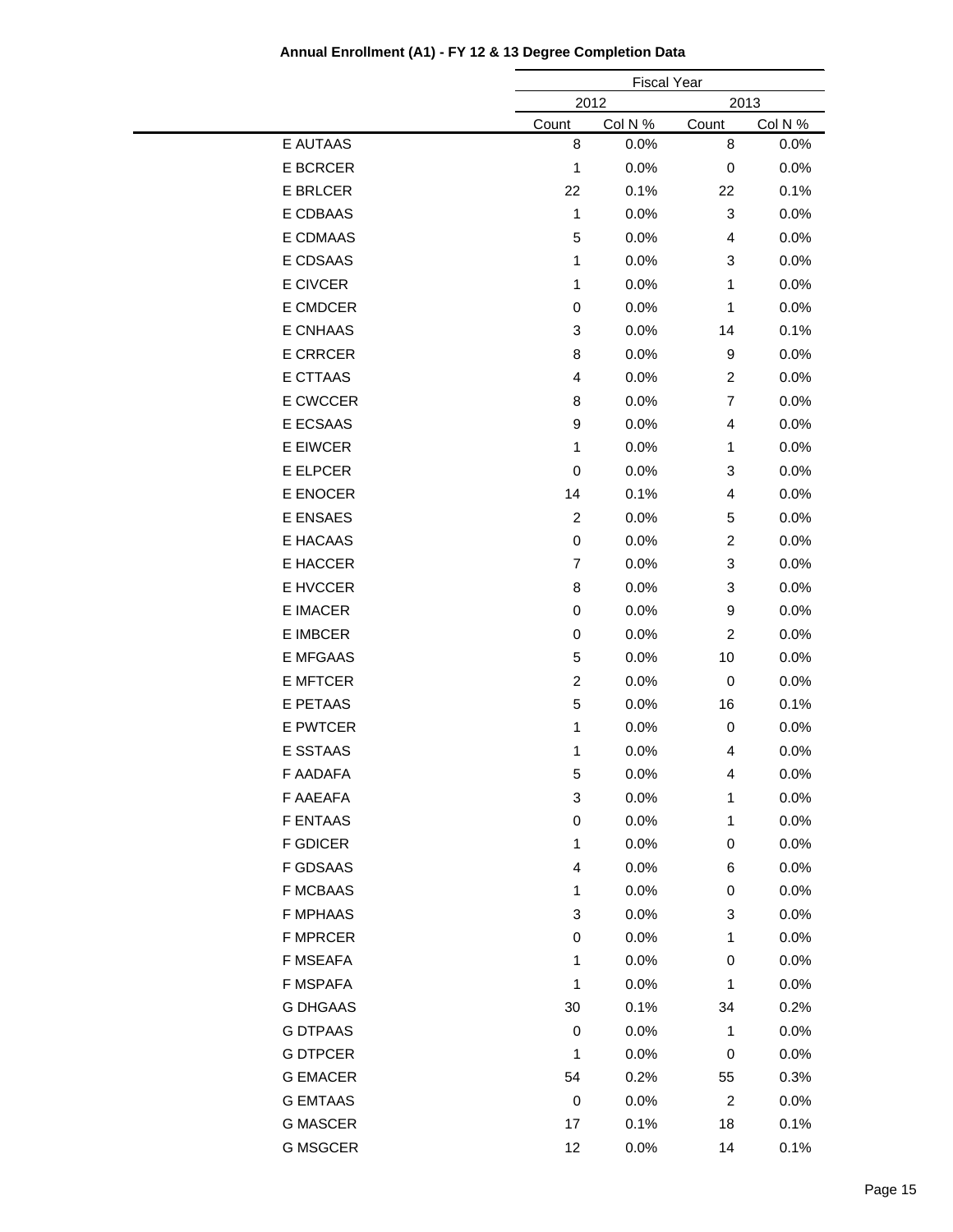|                 |                  | <b>Fiscal Year</b> |                |         |
|-----------------|------------------|--------------------|----------------|---------|
|                 |                  | 2012<br>2013       |                |         |
|                 | Count            | Col N %            | Count          | Col N % |
| E AUTAAS        | 8                | 0.0%               | 8              | 0.0%    |
| <b>E BCRCER</b> | 1                | 0.0%               | 0              | 0.0%    |
| <b>E BRLCER</b> | 22               | 0.1%               | 22             | 0.1%    |
| E CDBAAS        | 1                | 0.0%               | 3              | 0.0%    |
| E CDMAAS        | 5                | 0.0%               | 4              | 0.0%    |
| E CDSAAS        | 1                | 0.0%               | 3              | 0.0%    |
| <b>E CIVCER</b> | 1                | 0.0%               | 1              | 0.0%    |
| E CMDCER        | 0                | 0.0%               | 1              | 0.0%    |
| E CNHAAS        | 3                | 0.0%               | 14             | 0.1%    |
| <b>E CRRCER</b> | 8                | 0.0%               | 9              | 0.0%    |
| E CTTAAS        | 4                | 0.0%               | $\overline{c}$ | 0.0%    |
| E CWCCER        | 8                | 0.0%               | $\overline{7}$ | 0.0%    |
| E ECSAAS        | 9                | 0.0%               | 4              | 0.0%    |
| E EIWCER        | 1                | 0.0%               | 1              | 0.0%    |
| E ELPCER        | 0                | 0.0%               | 3              | 0.0%    |
| E ENOCER        | 14               | 0.1%               | 4              | 0.0%    |
| E ENSAES        | $\boldsymbol{2}$ | 0.0%               | 5              | 0.0%    |
| E HACAAS        | 0                | 0.0%               | $\overline{c}$ | 0.0%    |
| E HACCER        | $\overline{7}$   | 0.0%               | 3              | 0.0%    |
| E HVCCER        | 8                | 0.0%               | 3              | 0.0%    |
| <b>E IMACER</b> | 0                | 0.0%               | 9              | 0.0%    |
| <b>E IMBCER</b> | 0                | 0.0%               | $\overline{c}$ | 0.0%    |
| E MFGAAS        | 5                | 0.0%               | 10             | 0.0%    |
| <b>E MFTCER</b> | $\overline{c}$   | 0.0%               | $\mathbf 0$    | 0.0%    |
| E PETAAS        | 5                | 0.0%               | 16             | 0.1%    |
| E PWTCER        | 1                | 0.0%               | $\,0\,$        | 0.0%    |
| <b>E SSTAAS</b> | 1                | 0.0%               | 4              | 0.0%    |
| F AADAFA        | 5                | 0.0%               | 4              | 0.0%    |
| F AAEAFA        | 3                | 0.0%               | 1              | 0.0%    |
| <b>F ENTAAS</b> | $\,0\,$          | 0.0%               | 1              | 0.0%    |
| <b>F GDICER</b> | $\mathbf{1}$     | 0.0%               | 0              | 0.0%    |
| F GDSAAS        | 4                | 0.0%               | 6              | 0.0%    |
| <b>F MCBAAS</b> | 1                | 0.0%               | 0              | 0.0%    |
| <b>F MPHAAS</b> | 3                | 0.0%               | 3              | 0.0%    |
| <b>F MPRCER</b> | 0                | 0.0%               | 1              | 0.0%    |
| F MSEAFA        | 1                | 0.0%               | 0              | 0.0%    |
| F MSPAFA        | 1                | 0.0%               | 1              | 0.0%    |
| <b>G DHGAAS</b> | 30               | 0.1%               | 34             | 0.2%    |
| <b>G DTPAAS</b> | 0                | 0.0%               | 1              | 0.0%    |
| <b>G DTPCER</b> | 1                | 0.0%               | $\,0\,$        | 0.0%    |
| <b>G EMACER</b> | 54               | 0.2%               | 55             | 0.3%    |
| <b>G EMTAAS</b> | $\,0\,$          | 0.0%               | $\overline{c}$ | 0.0%    |
| <b>G MASCER</b> | 17               | 0.1%               | 18             | 0.1%    |
|                 |                  |                    |                |         |
| <b>G MSGCER</b> | 12               | 0.0%               | 14             | 0.1%    |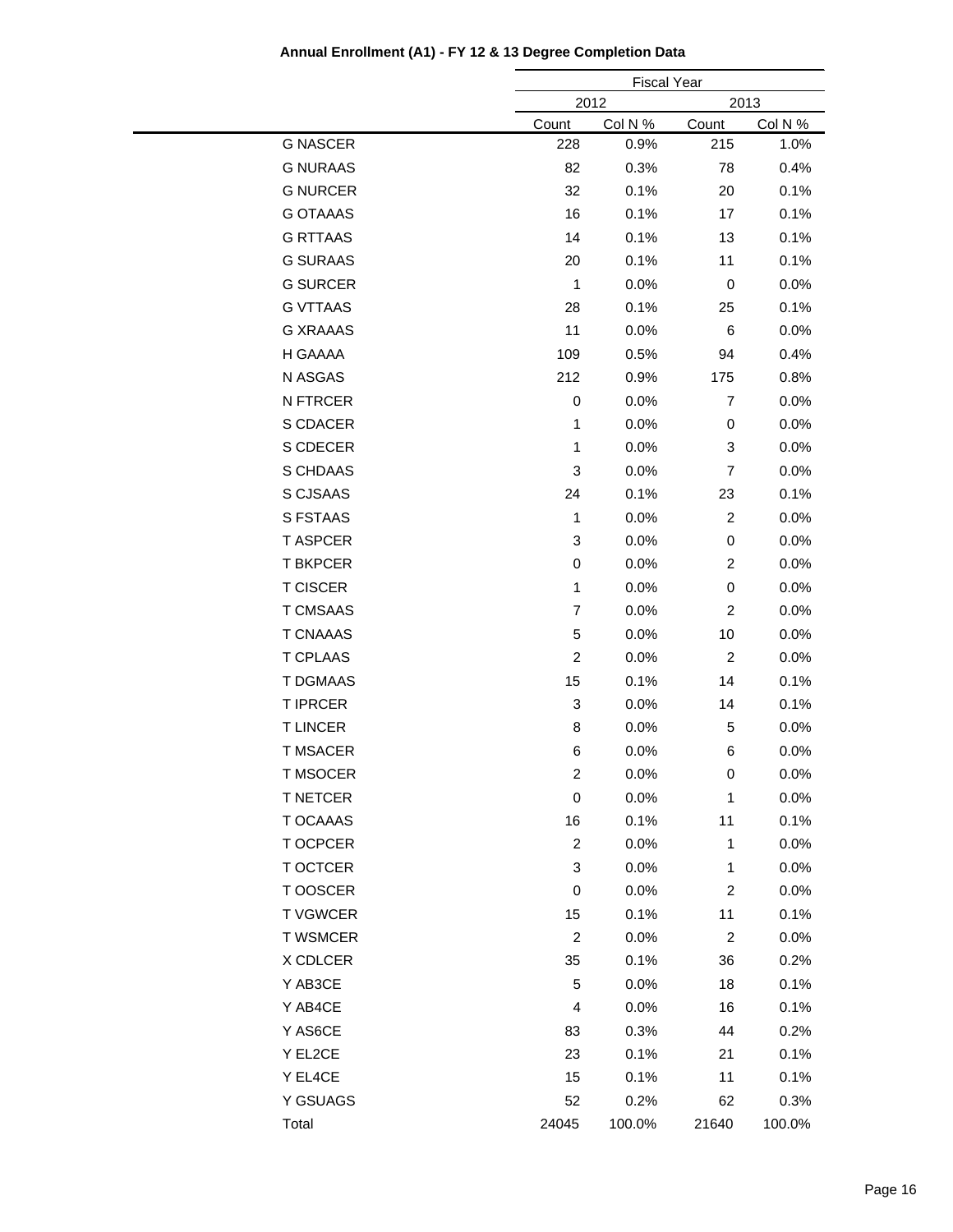|                 |                           | <b>Fiscal Year</b> |                |         |
|-----------------|---------------------------|--------------------|----------------|---------|
|                 |                           | 2012<br>2013       |                |         |
|                 | Count                     | Col N %            | Count          | Col N % |
| <b>G NASCER</b> | 228                       | 0.9%               | 215            | 1.0%    |
| <b>G NURAAS</b> | 82                        | 0.3%               | 78             | 0.4%    |
| <b>G NURCER</b> | 32                        | 0.1%               | 20             | 0.1%    |
| <b>G OTAAAS</b> | 16                        | 0.1%               | 17             | 0.1%    |
| <b>G RTTAAS</b> | 14                        | 0.1%               | 13             | 0.1%    |
| <b>G SURAAS</b> | 20                        | 0.1%               | 11             | 0.1%    |
| <b>G SURCER</b> | $\mathbf{1}$              | 0.0%               | 0              | 0.0%    |
| <b>G VTTAAS</b> | 28                        | 0.1%               | 25             | 0.1%    |
| <b>G XRAAAS</b> | 11                        | 0.0%               | 6              | $0.0\%$ |
| H GAAAA         | 109                       | 0.5%               | 94             | 0.4%    |
| N ASGAS         | 212                       | 0.9%               | 175            | 0.8%    |
| N FTRCER        | 0                         | 0.0%               | $\overline{7}$ | 0.0%    |
| S CDACER        | $\mathbf{1}$              | 0.0%               | 0              | 0.0%    |
| S CDECER        | $\mathbf{1}$              | 0.0%               | 3              | 0.0%    |
| S CHDAAS        | 3                         | 0.0%               | 7              | 0.0%    |
| S CJSAAS        | 24                        | 0.1%               | 23             | 0.1%    |
| S FSTAAS        | 1                         | 0.0%               | 2              | 0.0%    |
| <b>T ASPCER</b> | 3                         | 0.0%               | 0              | 0.0%    |
| <b>T BKPCER</b> | 0                         | 0.0%               | $\overline{c}$ | 0.0%    |
| <b>T CISCER</b> | $\mathbf{1}$              | 0.0%               | 0              | 0.0%    |
| <b>T CMSAAS</b> | $\overline{7}$            | 0.0%               | $\overline{c}$ | 0.0%    |
| <b>T CNAAAS</b> | 5                         | 0.0%               | 10             | $0.0\%$ |
| <b>T CPLAAS</b> | $\overline{c}$            | 0.0%               | $\overline{c}$ | 0.0%    |
| <b>T DGMAAS</b> | 15                        | 0.1%               | 14             | 0.1%    |
| <b>T IPRCER</b> | 3                         | 0.0%               | 14             | 0.1%    |
| <b>TLINCER</b>  | 8                         | 0.0%               | 5              | 0.0%    |
| <b>T MSACER</b> | 6                         | 0.0%               | 6              | 0.0%    |
| <b>T MSOCER</b> | $\overline{c}$            | 0.0%               | 0              | 0.0%    |
| <b>T NETCER</b> | 0                         | 0.0%               | 1              | 0.0%    |
| T OCAAAS        | 16                        | 0.1%               | 11             | 0.1%    |
| T OCPCER        | $\overline{2}$            | 0.0%               | $\mathbf{1}$   | 0.0%    |
| T OCTCER        | $\ensuremath{\mathsf{3}}$ | 0.0%               | $\mathbf{1}$   | 0.0%    |
| T OOSCER        | $\mathbf 0$               | 0.0%               | $\overline{c}$ | 0.0%    |
| <b>T VGWCER</b> | 15                        | 0.1%               | 11             | 0.1%    |
| <b>T WSMCER</b> | $\overline{2}$            | 0.0%               | $\overline{2}$ | 0.0%    |
| X CDLCER        | 35                        | 0.1%               | 36             | 0.2%    |
| Y AB3CE         | 5                         | 0.0%               | 18             | 0.1%    |
| Y AB4CE         | $\overline{4}$            | 0.0%               | 16             | 0.1%    |
| Y AS6CE         | 83                        | 0.3%               | 44             | 0.2%    |
| Y EL2CE         | 23                        |                    | 21             |         |
|                 |                           | 0.1%               |                | 0.1%    |
| Y EL4CE         | 15                        | 0.1%               | 11             | 0.1%    |
| Y GSUAGS        | 52                        | 0.2%               | 62             | 0.3%    |
| Total           | 24045                     | 100.0%             | 21640          | 100.0%  |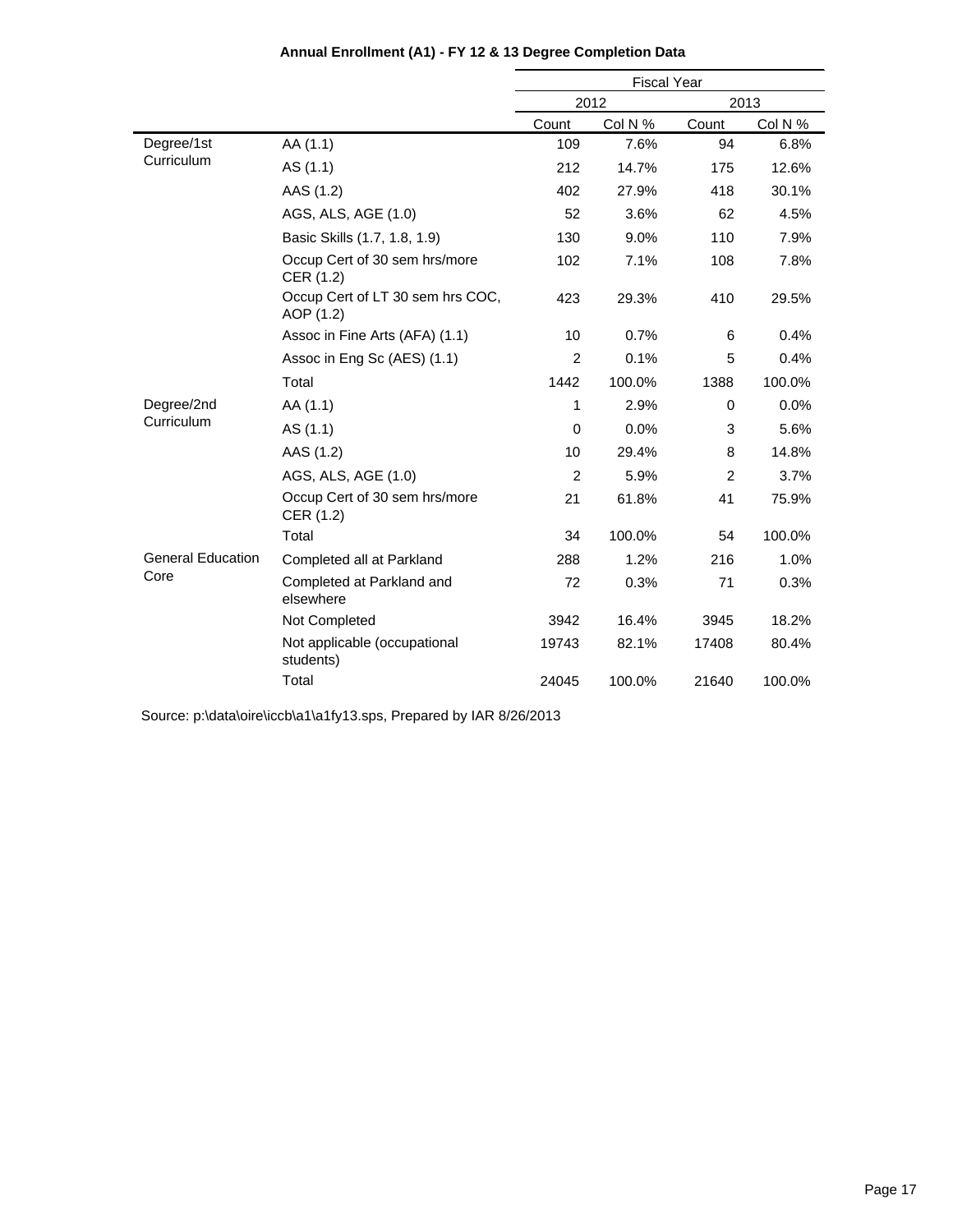|                          |                                               | <b>Fiscal Year</b> |         |       |         |
|--------------------------|-----------------------------------------------|--------------------|---------|-------|---------|
|                          |                                               |                    | 2012    | 2013  |         |
|                          |                                               | Count              | Col N % | Count | Col N % |
| Degree/1st               | AA (1.1)                                      | 109                | 7.6%    | 94    | 6.8%    |
| Curriculum               | AS (1.1)                                      | 212                | 14.7%   | 175   | 12.6%   |
|                          | AAS (1.2)                                     | 402                | 27.9%   | 418   | 30.1%   |
|                          | AGS, ALS, AGE (1.0)                           | 52                 | 3.6%    | 62    | 4.5%    |
|                          | Basic Skills (1.7, 1.8, 1.9)                  | 130                | 9.0%    | 110   | 7.9%    |
|                          | Occup Cert of 30 sem hrs/more<br>CER (1.2)    | 102                | 7.1%    | 108   | 7.8%    |
|                          | Occup Cert of LT 30 sem hrs COC,<br>AOP (1.2) | 423                | 29.3%   | 410   | 29.5%   |
|                          | Assoc in Fine Arts (AFA) (1.1)                | 10                 | 0.7%    | 6     | 0.4%    |
|                          | Assoc in Eng Sc (AES) (1.1)                   | $\overline{2}$     | 0.1%    | 5     | 0.4%    |
|                          | Total                                         | 1442               | 100.0%  | 1388  | 100.0%  |
| Degree/2nd               | AA (1.1)                                      | 1                  | 2.9%    | 0     | $0.0\%$ |
| Curriculum               | AS (1.1)                                      | 0                  | 0.0%    | 3     | 5.6%    |
|                          | AAS (1.2)                                     | 10                 | 29.4%   | 8     | 14.8%   |
|                          | AGS, ALS, AGE (1.0)                           | 2                  | 5.9%    | 2     | 3.7%    |
|                          | Occup Cert of 30 sem hrs/more<br>CER (1.2)    | 21                 | 61.8%   | 41    | 75.9%   |
|                          | Total                                         | 34                 | 100.0%  | 54    | 100.0%  |
| <b>General Education</b> | Completed all at Parkland                     | 288                | 1.2%    | 216   | 1.0%    |
| Core                     | Completed at Parkland and<br>elsewhere        | 72                 | 0.3%    | 71    | 0.3%    |
|                          | Not Completed                                 | 3942               | 16.4%   | 3945  | 18.2%   |
|                          | Not applicable (occupational<br>students)     | 19743              | 82.1%   | 17408 | 80.4%   |
|                          | Total                                         | 24045              | 100.0%  | 21640 | 100.0%  |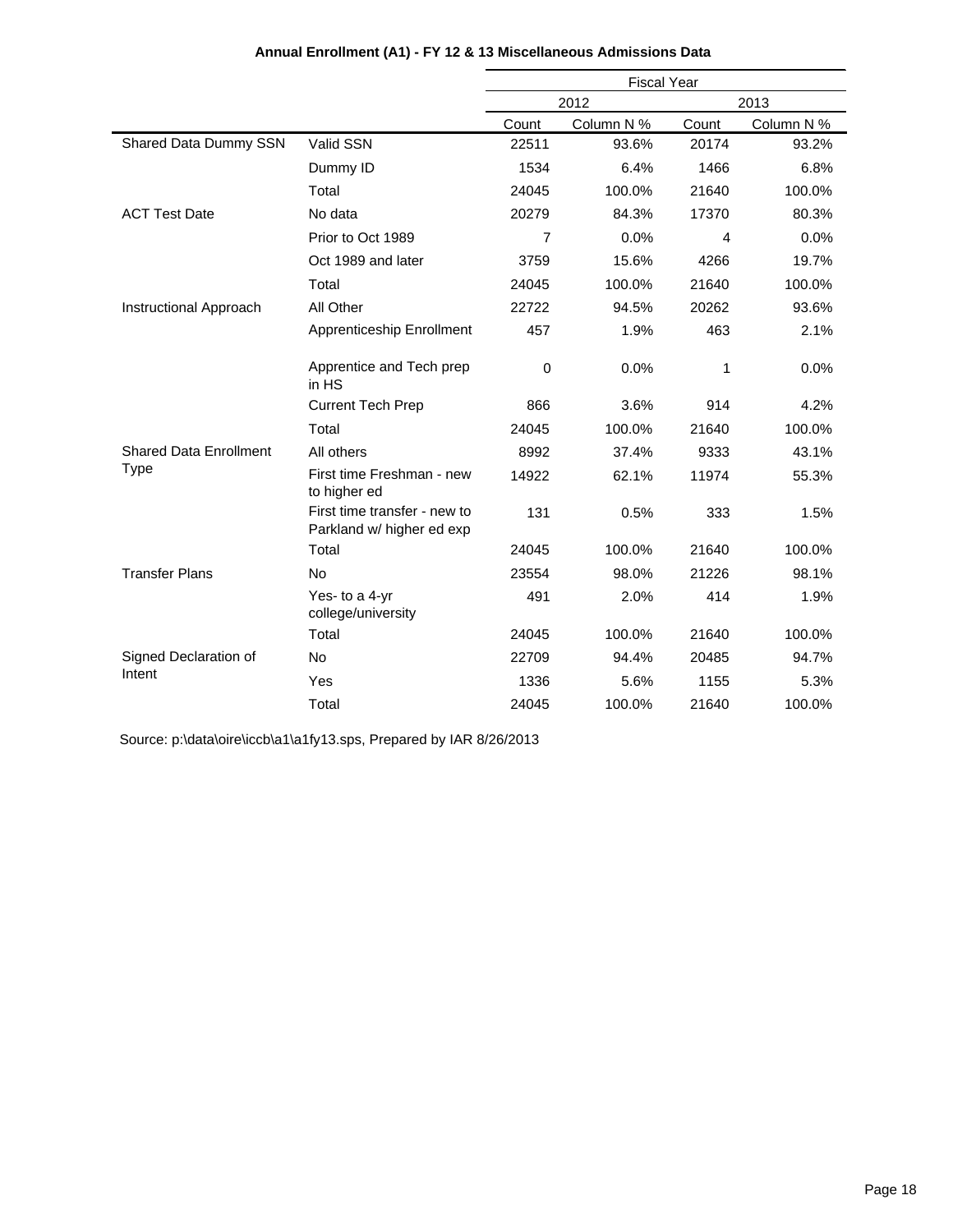|                                              |                                                           | <b>Fiscal Year</b> |            |       |            |
|----------------------------------------------|-----------------------------------------------------------|--------------------|------------|-------|------------|
|                                              |                                                           | 2013<br>2012       |            |       |            |
|                                              |                                                           | Count              | Column N % | Count | Column N % |
| Shared Data Dummy SSN                        | Valid SSN                                                 | 22511              | 93.6%      | 20174 | 93.2%      |
|                                              | Dummy ID                                                  | 1534               | 6.4%       | 1466  | 6.8%       |
|                                              | Total                                                     | 24045              | 100.0%     | 21640 | 100.0%     |
| <b>ACT Test Date</b>                         | No data                                                   | 20279              | 84.3%      | 17370 | 80.3%      |
|                                              | Prior to Oct 1989                                         | 7                  | 0.0%       | 4     | 0.0%       |
|                                              | Oct 1989 and later                                        | 3759               | 15.6%      | 4266  | 19.7%      |
|                                              | Total                                                     | 24045              | 100.0%     | 21640 | 100.0%     |
| Instructional Approach                       | All Other                                                 | 22722              | 94.5%      | 20262 | 93.6%      |
|                                              | Apprenticeship Enrollment                                 | 457                | 1.9%       | 463   | 2.1%       |
|                                              | Apprentice and Tech prep<br>in HS                         | $\mathbf 0$        | 0.0%       | 1     | 0.0%       |
|                                              | <b>Current Tech Prep</b>                                  | 866                | 3.6%       | 914   | 4.2%       |
|                                              | Total                                                     | 24045              | 100.0%     | 21640 | 100.0%     |
| <b>Shared Data Enrollment</b><br><b>Type</b> | All others                                                | 8992               | 37.4%      | 9333  | 43.1%      |
|                                              | First time Freshman - new<br>to higher ed                 | 14922              | 62.1%      | 11974 | 55.3%      |
|                                              | First time transfer - new to<br>Parkland w/ higher ed exp | 131                | 0.5%       | 333   | 1.5%       |
|                                              | Total                                                     | 24045              | 100.0%     | 21640 | 100.0%     |
| <b>Transfer Plans</b>                        | <b>No</b>                                                 | 23554              | 98.0%      | 21226 | 98.1%      |
|                                              | Yes- to a 4-yr<br>college/university                      | 491                | 2.0%       | 414   | 1.9%       |
|                                              | Total                                                     | 24045              | 100.0%     | 21640 | 100.0%     |
| Signed Declaration of                        | <b>No</b>                                                 | 22709              | 94.4%      | 20485 | 94.7%      |
| Intent                                       | Yes                                                       | 1336               | 5.6%       | 1155  | 5.3%       |
|                                              | Total                                                     | 24045              | 100.0%     | 21640 | 100.0%     |

### **Annual Enrollment (A1) - FY 12 & 13 Miscellaneous Admissions Data**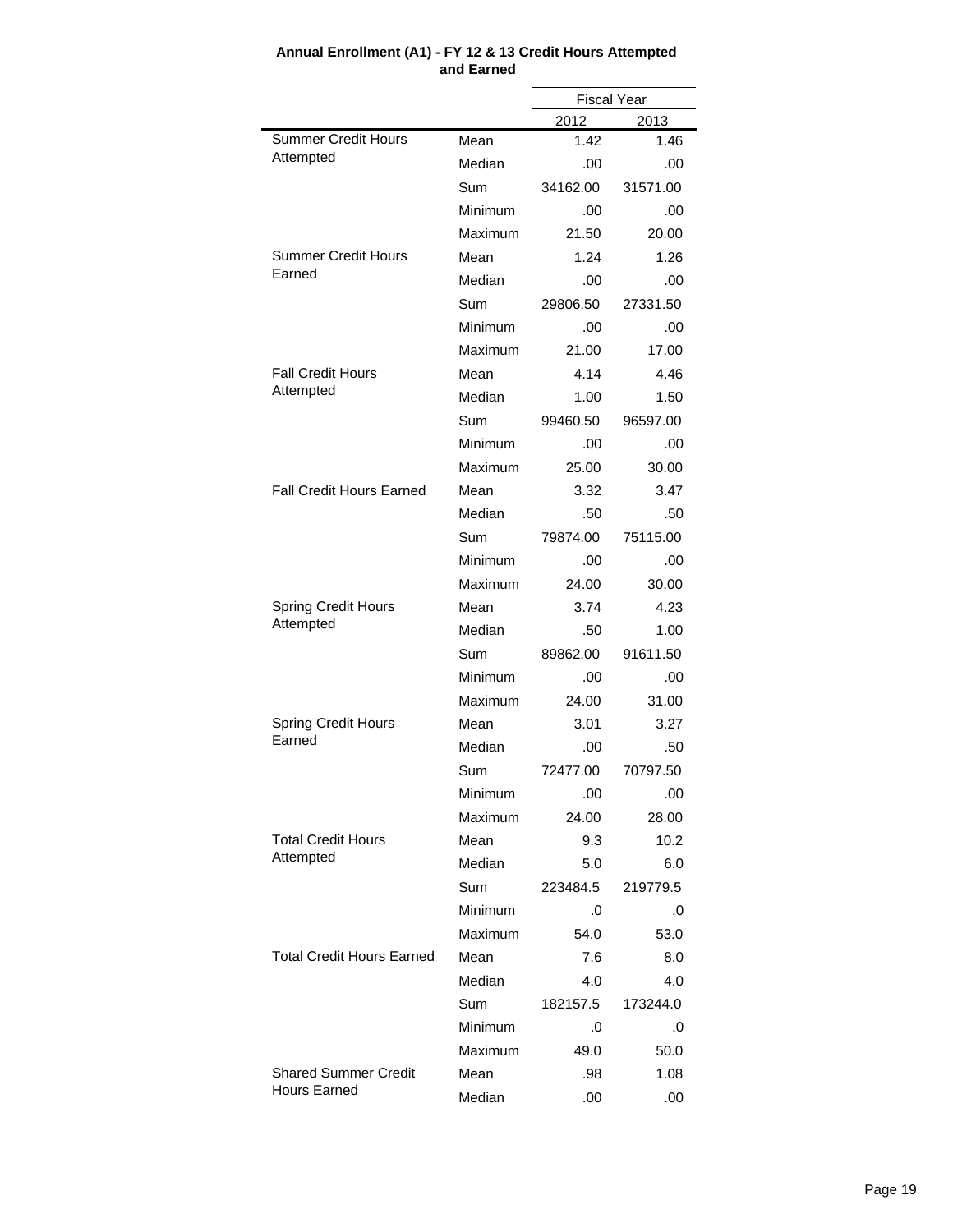|                                         |         | <b>Fiscal Year</b> |             |  |
|-----------------------------------------|---------|--------------------|-------------|--|
|                                         |         | 2012               | 2013        |  |
| <b>Summer Credit Hours</b><br>Attempted | Mean    | 1.42               | 1.46        |  |
|                                         | Median  | .00                | .00         |  |
|                                         | Sum     | 34162.00           | 31571.00    |  |
|                                         | Minimum | .00                | .00         |  |
|                                         | Maximum | 21.50              | 20.00       |  |
| <b>Summer Credit Hours</b>              | Mean    | 1.24               | 1.26        |  |
| Earned                                  | Median  | .00                | .00         |  |
|                                         | Sum     | 29806.50           | 27331.50    |  |
|                                         | Minimum | .00                | .00         |  |
|                                         | Maximum | 21.00              | 17.00       |  |
| <b>Fall Credit Hours</b>                | Mean    | 4.14               | 4.46        |  |
| Attempted                               | Median  | 1.00               | 1.50        |  |
|                                         | Sum     | 99460.50           | 96597.00    |  |
|                                         | Minimum | .00                | .00         |  |
|                                         | Maximum | 25.00              | 30.00       |  |
| <b>Fall Credit Hours Earned</b>         | Mean    | 3.32               | 3.47        |  |
|                                         | Median  | .50                | .50         |  |
|                                         | Sum     | 79874.00           | 75115.00    |  |
|                                         | Minimum | .00                | .00         |  |
|                                         | Maximum | 24.00              | 30.00       |  |
| <b>Spring Credit Hours</b>              | Mean    | 3.74               | 4.23        |  |
| Attempted                               | Median  | .50                | 1.00        |  |
|                                         | Sum     | 89862.00           | 91611.50    |  |
|                                         | Minimum | .00                | .00         |  |
|                                         | Maximum | 24.00              | 31.00       |  |
| <b>Spring Credit Hours</b>              | Mean    | 3.01               | 3.27        |  |
| Earned                                  | Median  | .00                | .50         |  |
|                                         | Sum     | 72477.00           | 70797.50    |  |
|                                         | Minimum | .00                | .00         |  |
|                                         | Maximum | 24.00              | 28.00       |  |
| <b>Total Credit Hours</b>               | Mean    | 9.3                | 10.2        |  |
| Attempted                               | Median  | 5.0                | 6.0         |  |
|                                         | Sum     | 223484.5           | 219779.5    |  |
|                                         | Minimum | .0                 | .0          |  |
|                                         | Maximum | 54.0               | 53.0        |  |
| <b>Total Credit Hours Earned</b>        | Mean    | 7.6                | 8.0         |  |
|                                         | Median  | 4.0                | 4.0         |  |
|                                         | Sum     | 182157.5           | 173244.0    |  |
|                                         | Minimum | .0                 | .0          |  |
|                                         | Maximum | 49.0               | 50.0        |  |
| <b>Shared Summer Credit</b>             | Mean    |                    |             |  |
| <b>Hours Earned</b>                     | Median  | .98<br>.00         | 1.08<br>.00 |  |
|                                         |         |                    |             |  |

#### **Annual Enrollment (A1) - FY 12 & 13 Credit Hours Attempted and Earned**